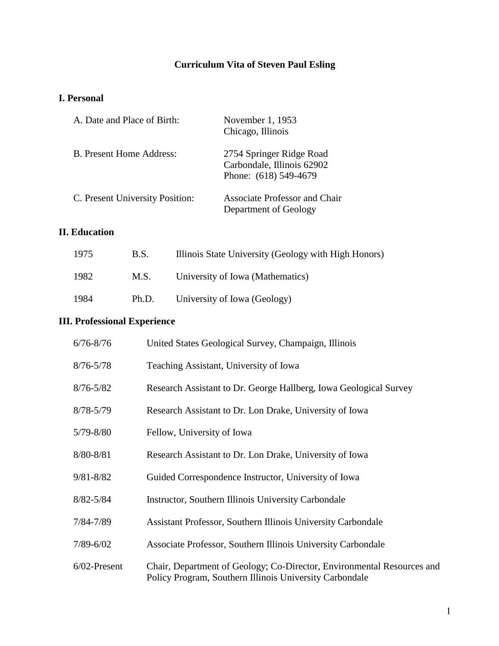## **Curriculum Vita of Steven Paul Esling**

### **I. Personal**

| A. Date and Place of Birth:     | November 1, 1953<br>Chicago, Illinois                                           |
|---------------------------------|---------------------------------------------------------------------------------|
| B. Present Home Address:        | 2754 Springer Ridge Road<br>Carbondale, Illinois 62902<br>Phone: (618) 549-4679 |
| C. Present University Position: | <b>Associate Professor and Chair</b><br>Department of Geology                   |

## **II. Education**

| 1975 | B.S.  | Illinois State University (Geology with High Honors) |
|------|-------|------------------------------------------------------|
| 1982 | M.S.  | University of Iowa (Mathematics)                     |
| 1984 | Ph.D. | University of Iowa (Geology)                         |

# **III. Professional Experience**

| $6/76 - 8/76$   | United States Geological Survey, Champaign, Illinois                                                                              |
|-----------------|-----------------------------------------------------------------------------------------------------------------------------------|
| $8/76 - 5/78$   | Teaching Assistant, University of Iowa                                                                                            |
| $8/76 - 5/82$   | Research Assistant to Dr. George Hallberg, Iowa Geological Survey                                                                 |
| $8/78 - 5/79$   | Research Assistant to Dr. Lon Drake, University of Iowa                                                                           |
| $5/79 - 8/80$   | Fellow, University of Iowa                                                                                                        |
| 8/80-8/81       | Research Assistant to Dr. Lon Drake, University of Iowa                                                                           |
| $9/81 - 8/82$   | Guided Correspondence Instructor, University of Iowa                                                                              |
| $8/82 - 5/84$   | Instructor, Southern Illinois University Carbondale                                                                               |
| 7/84-7/89       | Assistant Professor, Southern Illinois University Carbondale                                                                      |
| $7/89 - 6/02$   | Associate Professor, Southern Illinois University Carbondale                                                                      |
| $6/02$ -Present | Chair, Department of Geology; Co-Director, Environmental Resources and<br>Policy Program, Southern Illinois University Carbondale |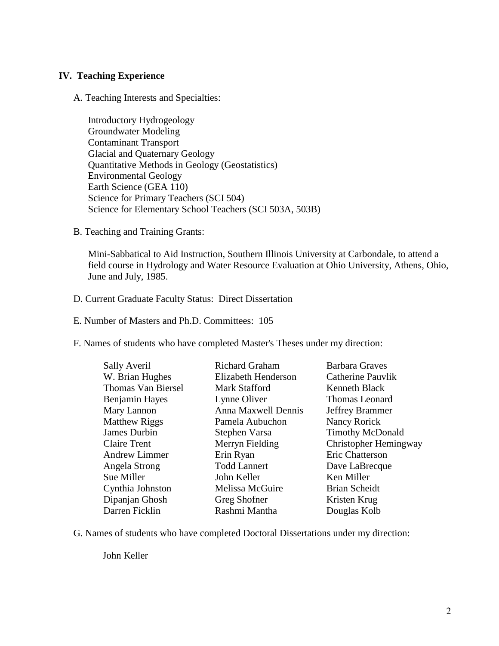#### **IV. Teaching Experience**

A. Teaching Interests and Specialties:

Introductory Hydrogeology Groundwater Modeling Contaminant Transport Glacial and Quaternary Geology Quantitative Methods in Geology (Geostatistics) Environmental Geology Earth Science (GEA 110) Science for Primary Teachers (SCI 504) Science for Elementary School Teachers (SCI 503A, 503B)

B. Teaching and Training Grants:

Mini-Sabbatical to Aid Instruction, Southern Illinois University at Carbondale, to attend a field course in Hydrology and Water Resource Evaluation at Ohio University, Athens, Ohio, June and July, 1985.

D. Current Graduate Faculty Status: Direct Dissertation

E. Number of Masters and Ph.D. Committees: 105

F. Names of students who have completed Master's Theses under my direction:

| <b>Sally Averil</b>       | <b>Richard Graham</b> | <b>Barbara Graves</b>   |
|---------------------------|-----------------------|-------------------------|
| W. Brian Hughes           | Elizabeth Henderson   | Catherine Pauvlik       |
| <b>Thomas Van Biersel</b> | <b>Mark Stafford</b>  | Kenneth Black           |
| Benjamin Hayes            | Lynne Oliver          | Thomas Leonard          |
| Mary Lannon               | Anna Maxwell Dennis   | Jeffrey Brammer         |
| <b>Matthew Riggs</b>      | Pamela Aubuchon       | Nancy Rorick            |
| James Durbin              | Stephen Varsa         | <b>Timothy McDonald</b> |
| <b>Claire Trent</b>       | Merryn Fielding       | Christopher Hemingway   |
| <b>Andrew Limmer</b>      | Erin Ryan             | Eric Chatterson         |
| Angela Strong             | <b>Todd Lannert</b>   | Dave LaBrecque          |
| Sue Miller                | John Keller           | Ken Miller              |
| Cynthia Johnston          | Melissa McGuire       | <b>Brian Scheidt</b>    |
| Dipanjan Ghosh            | Greg Shofner          | Kristen Krug            |
| Darren Ficklin            | Rashmi Mantha         | Douglas Kolb            |

G. Names of students who have completed Doctoral Dissertations under my direction:

John Keller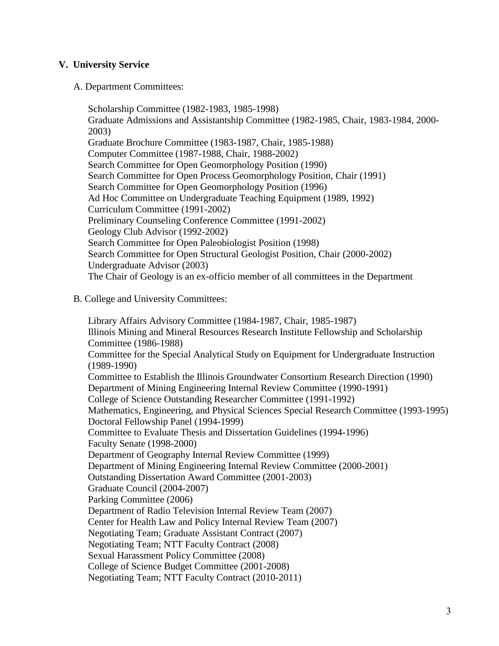#### **V. University Service**

A. Department Committees:

Scholarship Committee (1982-1983, 1985-1998) Graduate Admissions and Assistantship Committee (1982-1985, Chair, 1983-1984, 2000- 2003) Graduate Brochure Committee (1983-1987, Chair, 1985-1988) Computer Committee (1987-1988, Chair, 1988-2002) Search Committee for Open Geomorphology Position (1990) Search Committee for Open Process Geomorphology Position, Chair (1991) Search Committee for Open Geomorphology Position (1996) Ad Hoc Committee on Undergraduate Teaching Equipment (1989, 1992) Curriculum Committee (1991-2002) Preliminary Counseling Conference Committee (1991-2002) Geology Club Advisor (1992-2002) Search Committee for Open Paleobiologist Position (1998) Search Committee for Open Structural Geologist Position, Chair (2000-2002) Undergraduate Advisor (2003) The Chair of Geology is an ex-officio member of all committees in the Department

B. College and University Committees:

Library Affairs Advisory Committee (1984-1987, Chair, 1985-1987) Illinois Mining and Mineral Resources Research Institute Fellowship and Scholarship Committee (1986-1988) Committee for the Special Analytical Study on Equipment for Undergraduate Instruction (1989-1990) Committee to Establish the Illinois Groundwater Consortium Research Direction (1990) Department of Mining Engineering Internal Review Committee (1990-1991) College of Science Outstanding Researcher Committee (1991-1992) Mathematics, Engineering, and Physical Sciences Special Research Committee (1993-1995) Doctoral Fellowship Panel (1994-1999) Committee to Evaluate Thesis and Dissertation Guidelines (1994-1996) Faculty Senate (1998-2000) Department of Geography Internal Review Committee (1999) Department of Mining Engineering Internal Review Committee (2000-2001) Outstanding Dissertation Award Committee (2001-2003) Graduate Council (2004-2007) Parking Committee (2006) Department of Radio Television Internal Review Team (2007) Center for Health Law and Policy Internal Review Team (2007) Negotiating Team; Graduate Assistant Contract (2007) Negotiating Team; NTT Faculty Contract (2008) Sexual Harassment Policy Committee (2008) College of Science Budget Committee (2001-2008) Negotiating Team; NTT Faculty Contract (2010-2011)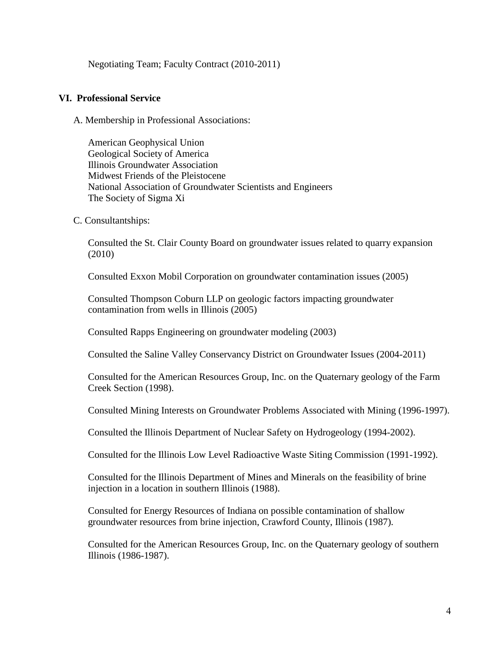Negotiating Team; Faculty Contract (2010-2011)

#### **VI. Professional Service**

A. Membership in Professional Associations:

American Geophysical Union Geological Society of America Illinois Groundwater Association Midwest Friends of the Pleistocene National Association of Groundwater Scientists and Engineers The Society of Sigma Xi

C. Consultantships:

Consulted the St. Clair County Board on groundwater issues related to quarry expansion (2010)

Consulted Exxon Mobil Corporation on groundwater contamination issues (2005)

Consulted Thompson Coburn LLP on geologic factors impacting groundwater contamination from wells in Illinois (2005)

Consulted Rapps Engineering on groundwater modeling (2003)

Consulted the Saline Valley Conservancy District on Groundwater Issues (2004-2011)

Consulted for the American Resources Group, Inc. on the Quaternary geology of the Farm Creek Section (1998).

Consulted Mining Interests on Groundwater Problems Associated with Mining (1996-1997).

Consulted the Illinois Department of Nuclear Safety on Hydrogeology (1994-2002).

Consulted for the Illinois Low Level Radioactive Waste Siting Commission (1991-1992).

Consulted for the Illinois Department of Mines and Minerals on the feasibility of brine injection in a location in southern Illinois (1988).

Consulted for Energy Resources of Indiana on possible contamination of shallow groundwater resources from brine injection, Crawford County, Illinois (1987).

Consulted for the American Resources Group, Inc. on the Quaternary geology of southern Illinois (1986-1987).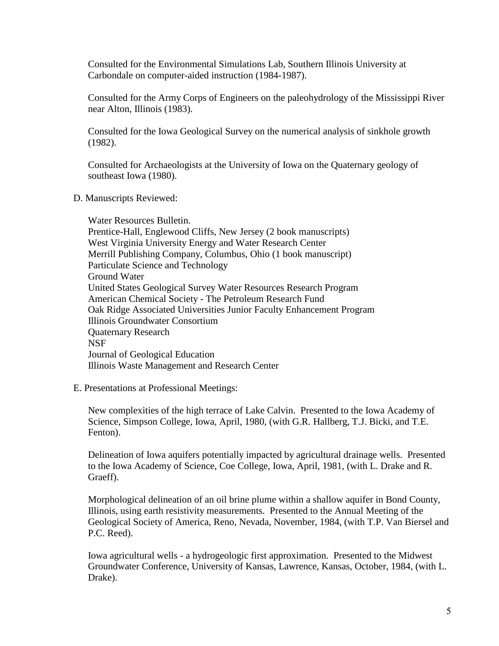Consulted for the Environmental Simulations Lab, Southern Illinois University at Carbondale on computer-aided instruction (1984-1987).

Consulted for the Army Corps of Engineers on the paleohydrology of the Mississippi River near Alton, Illinois (1983).

Consulted for the Iowa Geological Survey on the numerical analysis of sinkhole growth (1982).

Consulted for Archaeologists at the University of Iowa on the Quaternary geology of southeast Iowa (1980).

D. Manuscripts Reviewed:

Water Resources Bulletin. Prentice-Hall, Englewood Cliffs, New Jersey (2 book manuscripts) West Virginia University Energy and Water Research Center Merrill Publishing Company, Columbus, Ohio (1 book manuscript) Particulate Science and Technology Ground Water United States Geological Survey Water Resources Research Program American Chemical Society - The Petroleum Research Fund Oak Ridge Associated Universities Junior Faculty Enhancement Program Illinois Groundwater Consortium Quaternary Research **NSF** Journal of Geological Education Illinois Waste Management and Research Center

#### E. Presentations at Professional Meetings:

New complexities of the high terrace of Lake Calvin. Presented to the Iowa Academy of Science, Simpson College, Iowa, April, 1980, (with G.R. Hallberg, T.J. Bicki, and T.E. Fenton).

Delineation of Iowa aquifers potentially impacted by agricultural drainage wells. Presented to the Iowa Academy of Science, Coe College, Iowa, April, 1981, (with L. Drake and R. Graeff).

Morphological delineation of an oil brine plume within a shallow aquifer in Bond County, Illinois, using earth resistivity measurements. Presented to the Annual Meeting of the Geological Society of America, Reno, Nevada, November, 1984, (with T.P. Van Biersel and P.C. Reed).

Iowa agricultural wells - a hydrogeologic first approximation. Presented to the Midwest Groundwater Conference, University of Kansas, Lawrence, Kansas, October, 1984, (with L. Drake).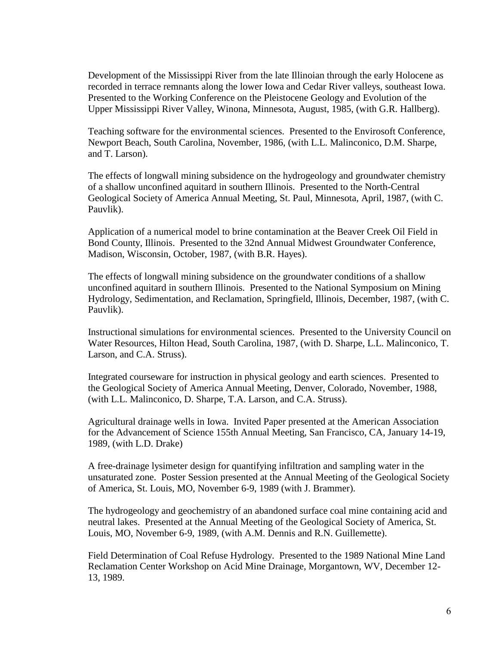Development of the Mississippi River from the late Illinoian through the early Holocene as recorded in terrace remnants along the lower Iowa and Cedar River valleys, southeast Iowa. Presented to the Working Conference on the Pleistocene Geology and Evolution of the Upper Mississippi River Valley, Winona, Minnesota, August, 1985, (with G.R. Hallberg).

Teaching software for the environmental sciences. Presented to the Envirosoft Conference, Newport Beach, South Carolina, November, 1986, (with L.L. Malinconico, D.M. Sharpe, and T. Larson).

The effects of longwall mining subsidence on the hydrogeology and groundwater chemistry of a shallow unconfined aquitard in southern Illinois. Presented to the North-Central Geological Society of America Annual Meeting, St. Paul, Minnesota, April, 1987, (with C. Pauvlik).

Application of a numerical model to brine contamination at the Beaver Creek Oil Field in Bond County, Illinois. Presented to the 32nd Annual Midwest Groundwater Conference, Madison, Wisconsin, October, 1987, (with B.R. Hayes).

The effects of longwall mining subsidence on the groundwater conditions of a shallow unconfined aquitard in southern Illinois. Presented to the National Symposium on Mining Hydrology, Sedimentation, and Reclamation, Springfield, Illinois, December, 1987, (with C. Pauvlik).

Instructional simulations for environmental sciences. Presented to the University Council on Water Resources, Hilton Head, South Carolina, 1987, (with D. Sharpe, L.L. Malinconico, T. Larson, and C.A. Struss).

Integrated courseware for instruction in physical geology and earth sciences. Presented to the Geological Society of America Annual Meeting, Denver, Colorado, November, 1988, (with L.L. Malinconico, D. Sharpe, T.A. Larson, and C.A. Struss).

Agricultural drainage wells in Iowa. Invited Paper presented at the American Association for the Advancement of Science 155th Annual Meeting, San Francisco, CA, January 14-19, 1989, (with L.D. Drake)

A free-drainage lysimeter design for quantifying infiltration and sampling water in the unsaturated zone. Poster Session presented at the Annual Meeting of the Geological Society of America, St. Louis, MO, November 6-9, 1989 (with J. Brammer).

The hydrogeology and geochemistry of an abandoned surface coal mine containing acid and neutral lakes. Presented at the Annual Meeting of the Geological Society of America, St. Louis, MO, November 6-9, 1989, (with A.M. Dennis and R.N. Guillemette).

Field Determination of Coal Refuse Hydrology. Presented to the 1989 National Mine Land Reclamation Center Workshop on Acid Mine Drainage, Morgantown, WV, December 12- 13, 1989.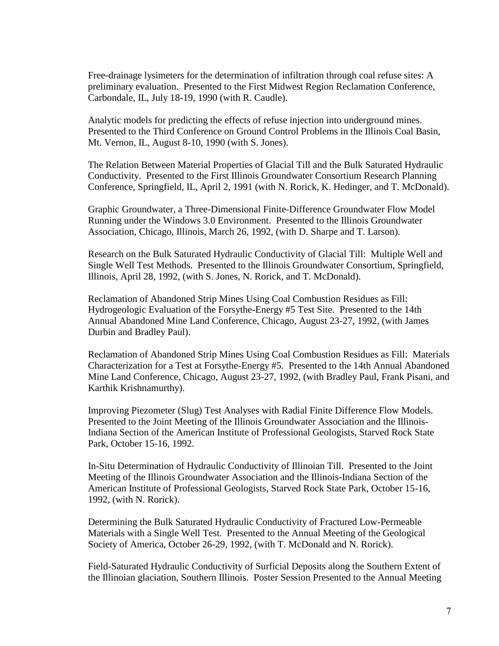Free-drainage lysimeters for the determination of infiltration through coal refuse sites: A preliminary evaluation. Presented to the First Midwest Region Reclamation Conference, Carbondale, IL, July 18-19, 1990 (with R. Caudle).

Analytic models for predicting the effects of refuse injection into underground mines. Presented to the Third Conference on Ground Control Problems in the Illinois Coal Basin, Mt. Vernon, IL, August 8-10, 1990 (with S. Jones).

The Relation Between Material Properties of Glacial Till and the Bulk Saturated Hydraulic Conductivity. Presented to the First Illinois Groundwater Consortium Research Planning Conference, Springfield, IL, April 2, 1991 (with N. Rorick, K. Hedinger, and T. McDonald).

Graphic Groundwater, a Three-Dimensional Finite-Difference Groundwater Flow Model Running under the Windows 3.0 Environment. Presented to the Illinois Groundwater Association, Chicago, Illinois, March 26, 1992, (with D. Sharpe and T. Larson).

Research on the Bulk Saturated Hydraulic Conductivity of Glacial Till: Multiple Well and Single Well Test Methods. Presented to the Illinois Groundwater Consortium, Springfield, Illinois, April 28, 1992, (with S. Jones, N. Rorick, and T. McDonald).

Reclamation of Abandoned Strip Mines Using Coal Combustion Residues as Fill: Hydrogeologic Evaluation of the Forsythe-Energy #5 Test Site. Presented to the 14th Annual Abandoned Mine Land Conference, Chicago, August 23-27, 1992, (with James Durbin and Bradley Paul).

Reclamation of Abandoned Strip Mines Using Coal Combustion Residues as Fill: Materials Characterization for a Test at Forsythe-Energy #5. Presented to the 14th Annual Abandoned Mine Land Conference, Chicago, August 23-27, 1992, (with Bradley Paul, Frank Pisani, and Karthik Krishnamurthy).

Improving Piezometer (Slug) Test Analyses with Radial Finite Difference Flow Models. Presented to the Joint Meeting of the Illinois Groundwater Association and the Illinois-Indiana Section of the American Institute of Professional Geologists, Starved Rock State Park, October 15-16, 1992.

In-Situ Determination of Hydraulic Conductivity of Illinoian Till. Presented to the Joint Meeting of the Illinois Groundwater Association and the Illinois-Indiana Section of the American Institute of Professional Geologists, Starved Rock State Park, October 15-16, 1992, (with N. Rorick).

Determining the Bulk Saturated Hydraulic Conductivity of Fractured Low-Permeable Materials with a Single Well Test. Presented to the Annual Meeting of the Geological Society of America, October 26-29, 1992, (with T. McDonald and N. Rorick).

Field-Saturated Hydraulic Conductivity of Surficial Deposits along the Southern Extent of the Illinoian glaciation, Southern Illinois. Poster Session Presented to the Annual Meeting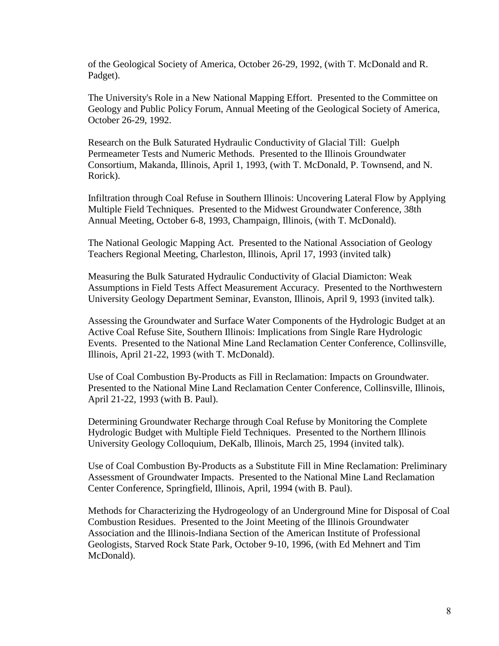of the Geological Society of America, October 26-29, 1992, (with T. McDonald and R. Padget).

The University's Role in a New National Mapping Effort. Presented to the Committee on Geology and Public Policy Forum, Annual Meeting of the Geological Society of America, October 26-29, 1992.

Research on the Bulk Saturated Hydraulic Conductivity of Glacial Till: Guelph Permeameter Tests and Numeric Methods. Presented to the Illinois Groundwater Consortium, Makanda, Illinois, April 1, 1993, (with T. McDonald, P. Townsend, and N. Rorick).

Infiltration through Coal Refuse in Southern Illinois: Uncovering Lateral Flow by Applying Multiple Field Techniques. Presented to the Midwest Groundwater Conference, 38th Annual Meeting, October 6-8, 1993, Champaign, Illinois, (with T. McDonald).

The National Geologic Mapping Act. Presented to the National Association of Geology Teachers Regional Meeting, Charleston, Illinois, April 17, 1993 (invited talk)

Measuring the Bulk Saturated Hydraulic Conductivity of Glacial Diamicton: Weak Assumptions in Field Tests Affect Measurement Accuracy. Presented to the Northwestern University Geology Department Seminar, Evanston, Illinois, April 9, 1993 (invited talk).

Assessing the Groundwater and Surface Water Components of the Hydrologic Budget at an Active Coal Refuse Site, Southern Illinois: Implications from Single Rare Hydrologic Events. Presented to the National Mine Land Reclamation Center Conference, Collinsville, Illinois, April 21-22, 1993 (with T. McDonald).

Use of Coal Combustion By-Products as Fill in Reclamation: Impacts on Groundwater. Presented to the National Mine Land Reclamation Center Conference, Collinsville, Illinois, April 21-22, 1993 (with B. Paul).

Determining Groundwater Recharge through Coal Refuse by Monitoring the Complete Hydrologic Budget with Multiple Field Techniques. Presented to the Northern Illinois University Geology Colloquium, DeKalb, Illinois, March 25, 1994 (invited talk).

Use of Coal Combustion By-Products as a Substitute Fill in Mine Reclamation: Preliminary Assessment of Groundwater Impacts. Presented to the National Mine Land Reclamation Center Conference, Springfield, Illinois, April, 1994 (with B. Paul).

Methods for Characterizing the Hydrogeology of an Underground Mine for Disposal of Coal Combustion Residues. Presented to the Joint Meeting of the Illinois Groundwater Association and the Illinois-Indiana Section of the American Institute of Professional Geologists, Starved Rock State Park, October 9-10, 1996, (with Ed Mehnert and Tim McDonald).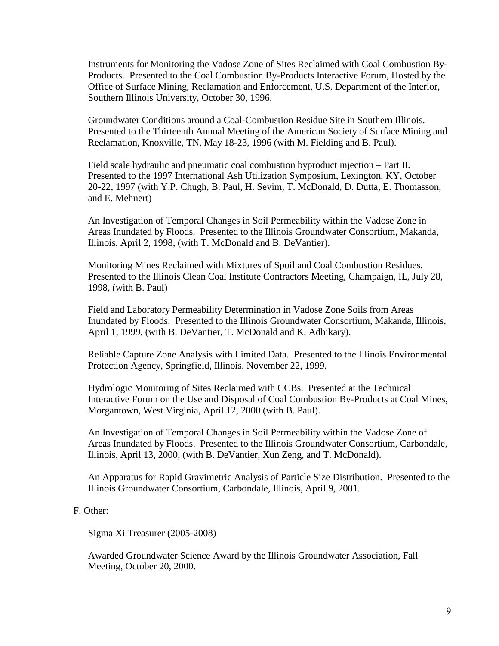Instruments for Monitoring the Vadose Zone of Sites Reclaimed with Coal Combustion By-Products. Presented to the Coal Combustion By-Products Interactive Forum, Hosted by the Office of Surface Mining, Reclamation and Enforcement, U.S. Department of the Interior, Southern Illinois University, October 30, 1996.

Groundwater Conditions around a Coal-Combustion Residue Site in Southern Illinois. Presented to the Thirteenth Annual Meeting of the American Society of Surface Mining and Reclamation, Knoxville, TN, May 18-23, 1996 (with M. Fielding and B. Paul).

Field scale hydraulic and pneumatic coal combustion byproduct injection – Part II. Presented to the 1997 International Ash Utilization Symposium, Lexington, KY, October 20-22, 1997 (with Y.P. Chugh, B. Paul, H. Sevim, T. McDonald, D. Dutta, E. Thomasson, and E. Mehnert)

An Investigation of Temporal Changes in Soil Permeability within the Vadose Zone in Areas Inundated by Floods. Presented to the Illinois Groundwater Consortium, Makanda, Illinois, April 2, 1998, (with T. McDonald and B. DeVantier).

Monitoring Mines Reclaimed with Mixtures of Spoil and Coal Combustion Residues. Presented to the Illinois Clean Coal Institute Contractors Meeting, Champaign, IL, July 28, 1998, (with B. Paul)

Field and Laboratory Permeability Determination in Vadose Zone Soils from Areas Inundated by Floods. Presented to the Illinois Groundwater Consortium, Makanda, Illinois, April 1, 1999, (with B. DeVantier, T. McDonald and K. Adhikary).

Reliable Capture Zone Analysis with Limited Data. Presented to the Illinois Environmental Protection Agency, Springfield, Illinois, November 22, 1999.

Hydrologic Monitoring of Sites Reclaimed with CCBs. Presented at the Technical Interactive Forum on the Use and Disposal of Coal Combustion By-Products at Coal Mines, Morgantown, West Virginia, April 12, 2000 (with B. Paul).

An Investigation of Temporal Changes in Soil Permeability within the Vadose Zone of Areas Inundated by Floods. Presented to the Illinois Groundwater Consortium, Carbondale, Illinois, April 13, 2000, (with B. DeVantier, Xun Zeng, and T. McDonald).

An Apparatus for Rapid Gravimetric Analysis of Particle Size Distribution. Presented to the Illinois Groundwater Consortium, Carbondale, Illinois, April 9, 2001.

#### F. Other:

Sigma Xi Treasurer (2005-2008)

Awarded Groundwater Science Award by the Illinois Groundwater Association, Fall Meeting, October 20, 2000.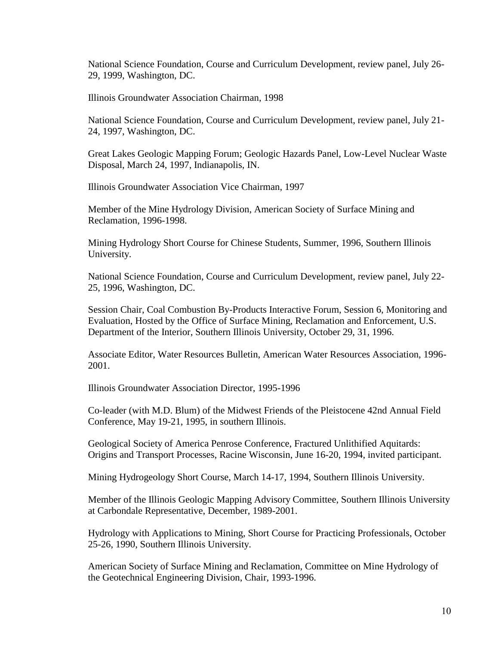National Science Foundation, Course and Curriculum Development, review panel, July 26- 29, 1999, Washington, DC.

Illinois Groundwater Association Chairman, 1998

National Science Foundation, Course and Curriculum Development, review panel, July 21- 24, 1997, Washington, DC.

Great Lakes Geologic Mapping Forum; Geologic Hazards Panel, Low-Level Nuclear Waste Disposal, March 24, 1997, Indianapolis, IN.

Illinois Groundwater Association Vice Chairman, 1997

Member of the Mine Hydrology Division, American Society of Surface Mining and Reclamation, 1996-1998.

Mining Hydrology Short Course for Chinese Students, Summer, 1996, Southern Illinois University.

National Science Foundation, Course and Curriculum Development, review panel, July 22- 25, 1996, Washington, DC.

Session Chair, Coal Combustion By-Products Interactive Forum, Session 6, Monitoring and Evaluation, Hosted by the Office of Surface Mining, Reclamation and Enforcement, U.S. Department of the Interior, Southern Illinois University, October 29, 31, 1996.

Associate Editor, Water Resources Bulletin, American Water Resources Association, 1996- 2001.

Illinois Groundwater Association Director, 1995-1996

Co-leader (with M.D. Blum) of the Midwest Friends of the Pleistocene 42nd Annual Field Conference, May 19-21, 1995, in southern Illinois.

Geological Society of America Penrose Conference, Fractured Unlithified Aquitards: Origins and Transport Processes, Racine Wisconsin, June 16-20, 1994, invited participant.

Mining Hydrogeology Short Course, March 14-17, 1994, Southern Illinois University.

Member of the Illinois Geologic Mapping Advisory Committee, Southern Illinois University at Carbondale Representative, December, 1989-2001.

Hydrology with Applications to Mining, Short Course for Practicing Professionals, October 25-26, 1990, Southern Illinois University.

American Society of Surface Mining and Reclamation, Committee on Mine Hydrology of the Geotechnical Engineering Division, Chair, 1993-1996.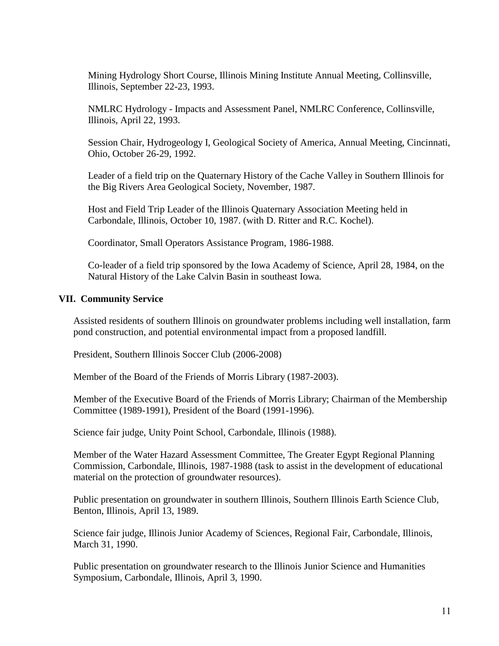Mining Hydrology Short Course, Illinois Mining Institute Annual Meeting, Collinsville, Illinois, September 22-23, 1993.

NMLRC Hydrology - Impacts and Assessment Panel, NMLRC Conference, Collinsville, Illinois, April 22, 1993.

Session Chair, Hydrogeology I, Geological Society of America, Annual Meeting, Cincinnati, Ohio, October 26-29, 1992.

Leader of a field trip on the Quaternary History of the Cache Valley in Southern Illinois for the Big Rivers Area Geological Society, November, 1987.

Host and Field Trip Leader of the Illinois Quaternary Association Meeting held in Carbondale, Illinois, October 10, 1987. (with D. Ritter and R.C. Kochel).

Coordinator, Small Operators Assistance Program, 1986-1988.

Co-leader of a field trip sponsored by the Iowa Academy of Science, April 28, 1984, on the Natural History of the Lake Calvin Basin in southeast Iowa.

#### **VII. Community Service**

Assisted residents of southern Illinois on groundwater problems including well installation, farm pond construction, and potential environmental impact from a proposed landfill.

President, Southern Illinois Soccer Club (2006-2008)

Member of the Board of the Friends of Morris Library (1987-2003).

Member of the Executive Board of the Friends of Morris Library; Chairman of the Membership Committee (1989-1991), President of the Board (1991-1996).

Science fair judge, Unity Point School, Carbondale, Illinois (1988).

Member of the Water Hazard Assessment Committee, The Greater Egypt Regional Planning Commission, Carbondale, Illinois, 1987-1988 (task to assist in the development of educational material on the protection of groundwater resources).

Public presentation on groundwater in southern Illinois, Southern Illinois Earth Science Club, Benton, Illinois, April 13, 1989.

Science fair judge, Illinois Junior Academy of Sciences, Regional Fair, Carbondale, Illinois, March 31, 1990.

Public presentation on groundwater research to the Illinois Junior Science and Humanities Symposium, Carbondale, Illinois, April 3, 1990.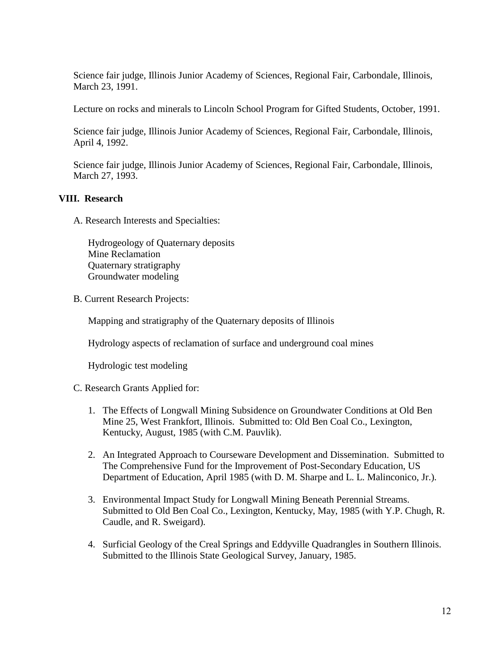Science fair judge, Illinois Junior Academy of Sciences, Regional Fair, Carbondale, Illinois, March 23, 1991.

Lecture on rocks and minerals to Lincoln School Program for Gifted Students, October, 1991.

Science fair judge, Illinois Junior Academy of Sciences, Regional Fair, Carbondale, Illinois, April 4, 1992.

Science fair judge, Illinois Junior Academy of Sciences, Regional Fair, Carbondale, Illinois, March 27, 1993.

#### **VIII. Research**

A. Research Interests and Specialties:

Hydrogeology of Quaternary deposits Mine Reclamation Quaternary stratigraphy Groundwater modeling

B. Current Research Projects:

Mapping and stratigraphy of the Quaternary deposits of Illinois

Hydrology aspects of reclamation of surface and underground coal mines

Hydrologic test modeling

C. Research Grants Applied for:

- 1. The Effects of Longwall Mining Subsidence on Groundwater Conditions at Old Ben Mine 25, West Frankfort, Illinois. Submitted to: Old Ben Coal Co., Lexington, Kentucky, August, 1985 (with C.M. Pauvlik).
- 2. An Integrated Approach to Courseware Development and Dissemination. Submitted to The Comprehensive Fund for the Improvement of Post-Secondary Education, US Department of Education, April 1985 (with D. M. Sharpe and L. L. Malinconico, Jr.).
- 3. Environmental Impact Study for Longwall Mining Beneath Perennial Streams. Submitted to Old Ben Coal Co., Lexington, Kentucky, May, 1985 (with Y.P. Chugh, R. Caudle, and R. Sweigard).
- 4. Surficial Geology of the Creal Springs and Eddyville Quadrangles in Southern Illinois. Submitted to the Illinois State Geological Survey, January, 1985.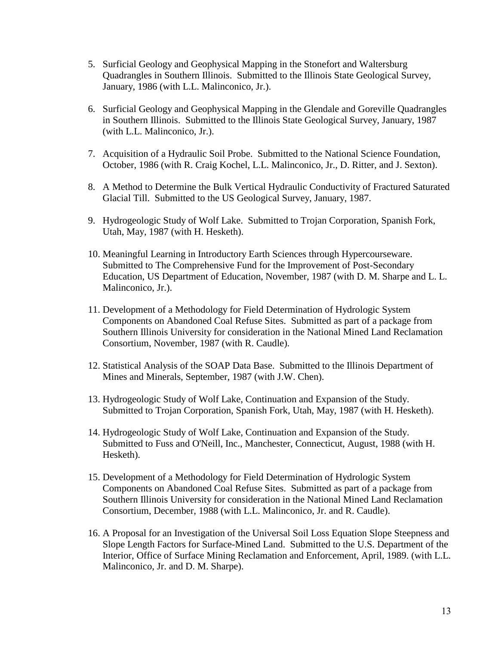- 5. Surficial Geology and Geophysical Mapping in the Stonefort and Waltersburg Quadrangles in Southern Illinois. Submitted to the Illinois State Geological Survey, January, 1986 (with L.L. Malinconico, Jr.).
- 6. Surficial Geology and Geophysical Mapping in the Glendale and Goreville Quadrangles in Southern Illinois. Submitted to the Illinois State Geological Survey, January, 1987 (with L.L. Malinconico, Jr.).
- 7. Acquisition of a Hydraulic Soil Probe. Submitted to the National Science Foundation, October, 1986 (with R. Craig Kochel, L.L. Malinconico, Jr., D. Ritter, and J. Sexton).
- 8. A Method to Determine the Bulk Vertical Hydraulic Conductivity of Fractured Saturated Glacial Till. Submitted to the US Geological Survey, January, 1987.
- 9. Hydrogeologic Study of Wolf Lake. Submitted to Trojan Corporation, Spanish Fork, Utah, May, 1987 (with H. Hesketh).
- 10. Meaningful Learning in Introductory Earth Sciences through Hypercourseware. Submitted to The Comprehensive Fund for the Improvement of Post-Secondary Education, US Department of Education, November, 1987 (with D. M. Sharpe and L. L. Malinconico, Jr.).
- 11. Development of a Methodology for Field Determination of Hydrologic System Components on Abandoned Coal Refuse Sites. Submitted as part of a package from Southern Illinois University for consideration in the National Mined Land Reclamation Consortium, November, 1987 (with R. Caudle).
- 12. Statistical Analysis of the SOAP Data Base. Submitted to the Illinois Department of Mines and Minerals, September, 1987 (with J.W. Chen).
- 13. Hydrogeologic Study of Wolf Lake, Continuation and Expansion of the Study. Submitted to Trojan Corporation, Spanish Fork, Utah, May, 1987 (with H. Hesketh).
- 14. Hydrogeologic Study of Wolf Lake, Continuation and Expansion of the Study. Submitted to Fuss and O'Neill, Inc., Manchester, Connecticut, August, 1988 (with H. Hesketh).
- 15. Development of a Methodology for Field Determination of Hydrologic System Components on Abandoned Coal Refuse Sites. Submitted as part of a package from Southern Illinois University for consideration in the National Mined Land Reclamation Consortium, December, 1988 (with L.L. Malinconico, Jr. and R. Caudle).
- 16. A Proposal for an Investigation of the Universal Soil Loss Equation Slope Steepness and Slope Length Factors for Surface-Mined Land. Submitted to the U.S. Department of the Interior, Office of Surface Mining Reclamation and Enforcement, April, 1989. (with L.L. Malinconico, Jr. and D. M. Sharpe).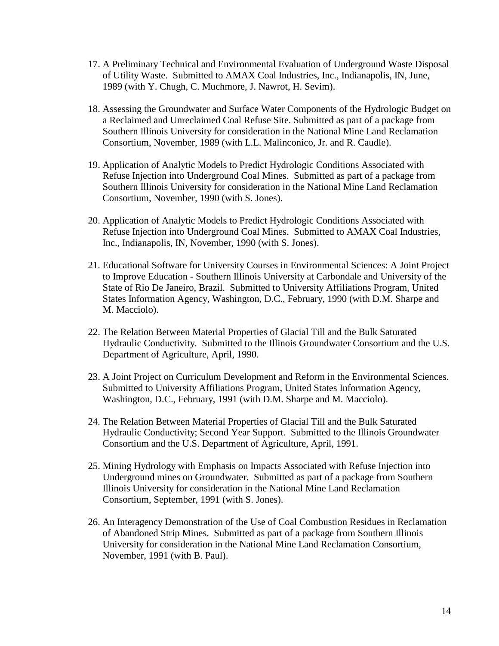- 17. A Preliminary Technical and Environmental Evaluation of Underground Waste Disposal of Utility Waste. Submitted to AMAX Coal Industries, Inc., Indianapolis, IN, June, 1989 (with Y. Chugh, C. Muchmore, J. Nawrot, H. Sevim).
- 18. Assessing the Groundwater and Surface Water Components of the Hydrologic Budget on a Reclaimed and Unreclaimed Coal Refuse Site. Submitted as part of a package from Southern Illinois University for consideration in the National Mine Land Reclamation Consortium, November, 1989 (with L.L. Malinconico, Jr. and R. Caudle).
- 19. Application of Analytic Models to Predict Hydrologic Conditions Associated with Refuse Injection into Underground Coal Mines. Submitted as part of a package from Southern Illinois University for consideration in the National Mine Land Reclamation Consortium, November, 1990 (with S. Jones).
- 20. Application of Analytic Models to Predict Hydrologic Conditions Associated with Refuse Injection into Underground Coal Mines. Submitted to AMAX Coal Industries, Inc., Indianapolis, IN, November, 1990 (with S. Jones).
- 21. Educational Software for University Courses in Environmental Sciences: A Joint Project to Improve Education - Southern Illinois University at Carbondale and University of the State of Rio De Janeiro, Brazil. Submitted to University Affiliations Program, United States Information Agency, Washington, D.C., February, 1990 (with D.M. Sharpe and M. Macciolo).
- 22. The Relation Between Material Properties of Glacial Till and the Bulk Saturated Hydraulic Conductivity. Submitted to the Illinois Groundwater Consortium and the U.S. Department of Agriculture, April, 1990.
- 23. A Joint Project on Curriculum Development and Reform in the Environmental Sciences. Submitted to University Affiliations Program, United States Information Agency, Washington, D.C., February, 1991 (with D.M. Sharpe and M. Macciolo).
- 24. The Relation Between Material Properties of Glacial Till and the Bulk Saturated Hydraulic Conductivity; Second Year Support. Submitted to the Illinois Groundwater Consortium and the U.S. Department of Agriculture, April, 1991.
- 25. Mining Hydrology with Emphasis on Impacts Associated with Refuse Injection into Underground mines on Groundwater. Submitted as part of a package from Southern Illinois University for consideration in the National Mine Land Reclamation Consortium, September, 1991 (with S. Jones).
- 26. An Interagency Demonstration of the Use of Coal Combustion Residues in Reclamation of Abandoned Strip Mines. Submitted as part of a package from Southern Illinois University for consideration in the National Mine Land Reclamation Consortium, November, 1991 (with B. Paul).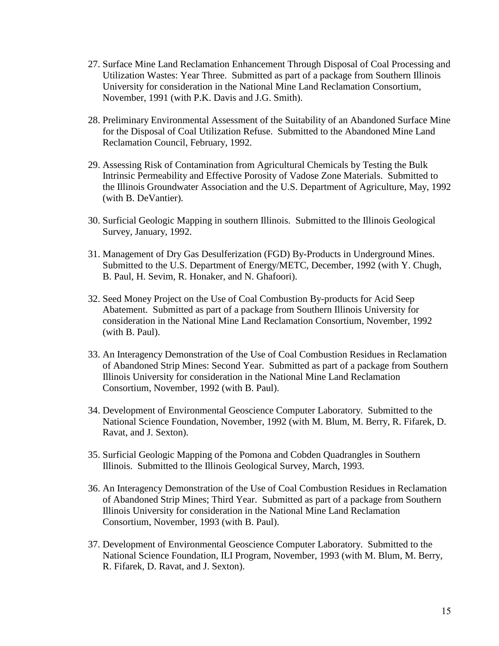- 27. Surface Mine Land Reclamation Enhancement Through Disposal of Coal Processing and Utilization Wastes: Year Three. Submitted as part of a package from Southern Illinois University for consideration in the National Mine Land Reclamation Consortium, November, 1991 (with P.K. Davis and J.G. Smith).
- 28. Preliminary Environmental Assessment of the Suitability of an Abandoned Surface Mine for the Disposal of Coal Utilization Refuse. Submitted to the Abandoned Mine Land Reclamation Council, February, 1992.
- 29. Assessing Risk of Contamination from Agricultural Chemicals by Testing the Bulk Intrinsic Permeability and Effective Porosity of Vadose Zone Materials. Submitted to the Illinois Groundwater Association and the U.S. Department of Agriculture, May, 1992 (with B. DeVantier).
- 30. Surficial Geologic Mapping in southern Illinois. Submitted to the Illinois Geological Survey, January, 1992.
- 31. Management of Dry Gas Desulferization (FGD) By-Products in Underground Mines. Submitted to the U.S. Department of Energy/METC, December, 1992 (with Y. Chugh, B. Paul, H. Sevim, R. Honaker, and N. Ghafoori).
- 32. Seed Money Project on the Use of Coal Combustion By-products for Acid Seep Abatement. Submitted as part of a package from Southern Illinois University for consideration in the National Mine Land Reclamation Consortium, November, 1992 (with B. Paul).
- 33. An Interagency Demonstration of the Use of Coal Combustion Residues in Reclamation of Abandoned Strip Mines: Second Year. Submitted as part of a package from Southern Illinois University for consideration in the National Mine Land Reclamation Consortium, November, 1992 (with B. Paul).
- 34. Development of Environmental Geoscience Computer Laboratory. Submitted to the National Science Foundation, November, 1992 (with M. Blum, M. Berry, R. Fifarek, D. Ravat, and J. Sexton).
- 35. Surficial Geologic Mapping of the Pomona and Cobden Quadrangles in Southern Illinois. Submitted to the Illinois Geological Survey, March, 1993.
- 36. An Interagency Demonstration of the Use of Coal Combustion Residues in Reclamation of Abandoned Strip Mines; Third Year. Submitted as part of a package from Southern Illinois University for consideration in the National Mine Land Reclamation Consortium, November, 1993 (with B. Paul).
- 37. Development of Environmental Geoscience Computer Laboratory. Submitted to the National Science Foundation, ILI Program, November, 1993 (with M. Blum, M. Berry, R. Fifarek, D. Ravat, and J. Sexton).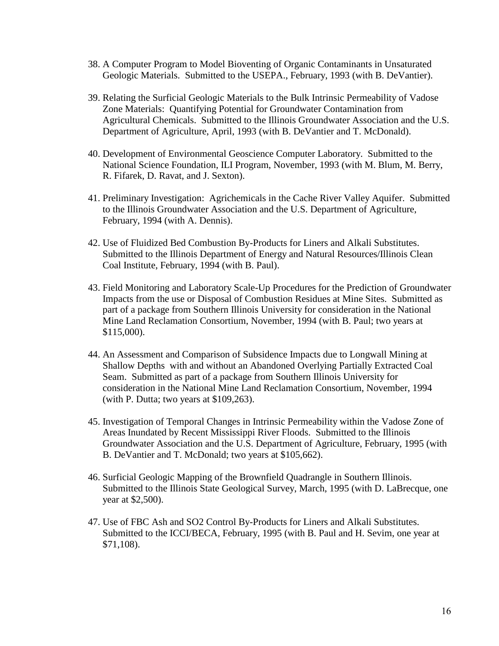- 38. A Computer Program to Model Bioventing of Organic Contaminants in Unsaturated Geologic Materials. Submitted to the USEPA., February, 1993 (with B. DeVantier).
- 39. Relating the Surficial Geologic Materials to the Bulk Intrinsic Permeability of Vadose Zone Materials: Quantifying Potential for Groundwater Contamination from Agricultural Chemicals. Submitted to the Illinois Groundwater Association and the U.S. Department of Agriculture, April, 1993 (with B. DeVantier and T. McDonald).
- 40. Development of Environmental Geoscience Computer Laboratory. Submitted to the National Science Foundation, ILI Program, November, 1993 (with M. Blum, M. Berry, R. Fifarek, D. Ravat, and J. Sexton).
- 41. Preliminary Investigation: Agrichemicals in the Cache River Valley Aquifer. Submitted to the Illinois Groundwater Association and the U.S. Department of Agriculture, February, 1994 (with A. Dennis).
- 42. Use of Fluidized Bed Combustion By-Products for Liners and Alkali Substitutes. Submitted to the Illinois Department of Energy and Natural Resources/Illinois Clean Coal Institute, February, 1994 (with B. Paul).
- 43. Field Monitoring and Laboratory Scale-Up Procedures for the Prediction of Groundwater Impacts from the use or Disposal of Combustion Residues at Mine Sites. Submitted as part of a package from Southern Illinois University for consideration in the National Mine Land Reclamation Consortium, November, 1994 (with B. Paul; two years at \$115,000).
- 44. An Assessment and Comparison of Subsidence Impacts due to Longwall Mining at Shallow Depths with and without an Abandoned Overlying Partially Extracted Coal Seam. Submitted as part of a package from Southern Illinois University for consideration in the National Mine Land Reclamation Consortium, November, 1994 (with P. Dutta; two years at \$109,263).
- 45. Investigation of Temporal Changes in Intrinsic Permeability within the Vadose Zone of Areas Inundated by Recent Mississippi River Floods. Submitted to the Illinois Groundwater Association and the U.S. Department of Agriculture, February, 1995 (with B. DeVantier and T. McDonald; two years at \$105,662).
- 46. Surficial Geologic Mapping of the Brownfield Quadrangle in Southern Illinois. Submitted to the Illinois State Geological Survey, March, 1995 (with D. LaBrecque, one year at \$2,500).
- 47. Use of FBC Ash and SO2 Control By-Products for Liners and Alkali Substitutes. Submitted to the ICCI/BECA, February, 1995 (with B. Paul and H. Sevim, one year at \$71,108).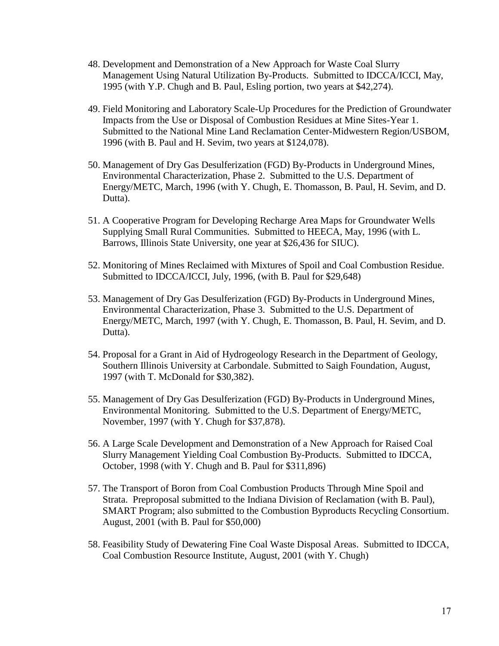- 48. Development and Demonstration of a New Approach for Waste Coal Slurry Management Using Natural Utilization By-Products. Submitted to IDCCA/ICCI, May, 1995 (with Y.P. Chugh and B. Paul, Esling portion, two years at \$42,274).
- 49. Field Monitoring and Laboratory Scale-Up Procedures for the Prediction of Groundwater Impacts from the Use or Disposal of Combustion Residues at Mine Sites-Year 1. Submitted to the National Mine Land Reclamation Center-Midwestern Region/USBOM, 1996 (with B. Paul and H. Sevim, two years at \$124,078).
- 50. Management of Dry Gas Desulferization (FGD) By-Products in Underground Mines, Environmental Characterization, Phase 2. Submitted to the U.S. Department of Energy/METC, March, 1996 (with Y. Chugh, E. Thomasson, B. Paul, H. Sevim, and D. Dutta).
- 51. A Cooperative Program for Developing Recharge Area Maps for Groundwater Wells Supplying Small Rural Communities. Submitted to HEECA, May, 1996 (with L. Barrows, Illinois State University, one year at \$26,436 for SIUC).
- 52. Monitoring of Mines Reclaimed with Mixtures of Spoil and Coal Combustion Residue. Submitted to IDCCA/ICCI, July, 1996, (with B. Paul for \$29,648)
- 53. Management of Dry Gas Desulferization (FGD) By-Products in Underground Mines, Environmental Characterization, Phase 3. Submitted to the U.S. Department of Energy/METC, March, 1997 (with Y. Chugh, E. Thomasson, B. Paul, H. Sevim, and D. Dutta).
- 54. Proposal for a Grant in Aid of Hydrogeology Research in the Department of Geology, Southern Illinois University at Carbondale. Submitted to Saigh Foundation, August, 1997 (with T. McDonald for \$30,382).
- 55. Management of Dry Gas Desulferization (FGD) By-Products in Underground Mines, Environmental Monitoring. Submitted to the U.S. Department of Energy/METC, November, 1997 (with Y. Chugh for \$37,878).
- 56. A Large Scale Development and Demonstration of a New Approach for Raised Coal Slurry Management Yielding Coal Combustion By-Products. Submitted to IDCCA, October, 1998 (with Y. Chugh and B. Paul for \$311,896)
- 57. The Transport of Boron from Coal Combustion Products Through Mine Spoil and Strata. Preproposal submitted to the Indiana Division of Reclamation (with B. Paul), SMART Program; also submitted to the Combustion Byproducts Recycling Consortium. August, 2001 (with B. Paul for \$50,000)
- 58. Feasibility Study of Dewatering Fine Coal Waste Disposal Areas. Submitted to IDCCA, Coal Combustion Resource Institute, August, 2001 (with Y. Chugh)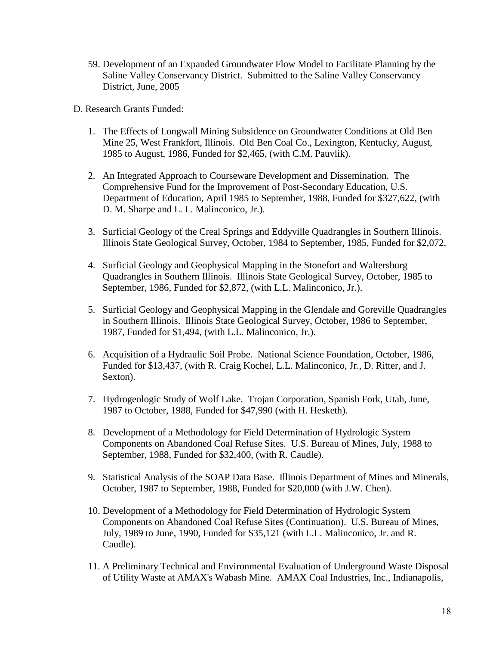- 59. Development of an Expanded Groundwater Flow Model to Facilitate Planning by the Saline Valley Conservancy District. Submitted to the Saline Valley Conservancy District, June, 2005
- D. Research Grants Funded:
	- 1. The Effects of Longwall Mining Subsidence on Groundwater Conditions at Old Ben Mine 25, West Frankfort, Illinois. Old Ben Coal Co., Lexington, Kentucky, August, 1985 to August, 1986, Funded for \$2,465, (with C.M. Pauvlik).
	- 2. An Integrated Approach to Courseware Development and Dissemination. The Comprehensive Fund for the Improvement of Post-Secondary Education, U.S. Department of Education, April 1985 to September, 1988, Funded for \$327,622, (with D. M. Sharpe and L. L. Malinconico, Jr.).
	- 3. Surficial Geology of the Creal Springs and Eddyville Quadrangles in Southern Illinois. Illinois State Geological Survey, October, 1984 to September, 1985, Funded for \$2,072.
	- 4. Surficial Geology and Geophysical Mapping in the Stonefort and Waltersburg Quadrangles in Southern Illinois. Illinois State Geological Survey, October, 1985 to September, 1986, Funded for \$2,872, (with L.L. Malinconico, Jr.).
	- 5. Surficial Geology and Geophysical Mapping in the Glendale and Goreville Quadrangles in Southern Illinois. Illinois State Geological Survey, October, 1986 to September, 1987, Funded for \$1,494, (with L.L. Malinconico, Jr.).
	- 6. Acquisition of a Hydraulic Soil Probe. National Science Foundation, October, 1986, Funded for \$13,437, (with R. Craig Kochel, L.L. Malinconico, Jr., D. Ritter, and J. Sexton).
	- 7. Hydrogeologic Study of Wolf Lake. Trojan Corporation, Spanish Fork, Utah, June, 1987 to October, 1988, Funded for \$47,990 (with H. Hesketh).
	- 8. Development of a Methodology for Field Determination of Hydrologic System Components on Abandoned Coal Refuse Sites. U.S. Bureau of Mines, July, 1988 to September, 1988, Funded for \$32,400, (with R. Caudle).
	- 9. Statistical Analysis of the SOAP Data Base. Illinois Department of Mines and Minerals, October, 1987 to September, 1988, Funded for \$20,000 (with J.W. Chen).
	- 10. Development of a Methodology for Field Determination of Hydrologic System Components on Abandoned Coal Refuse Sites (Continuation). U.S. Bureau of Mines, July, 1989 to June, 1990, Funded for \$35,121 (with L.L. Malinconico, Jr. and R. Caudle).
	- 11. A Preliminary Technical and Environmental Evaluation of Underground Waste Disposal of Utility Waste at AMAX's Wabash Mine. AMAX Coal Industries, Inc., Indianapolis,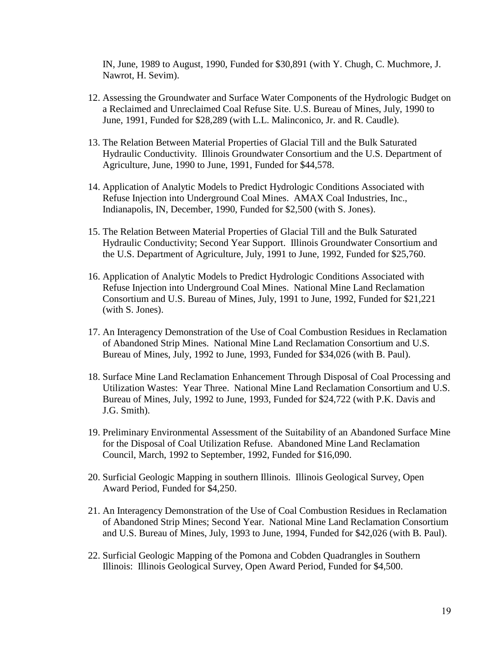IN, June, 1989 to August, 1990, Funded for \$30,891 (with Y. Chugh, C. Muchmore, J. Nawrot, H. Sevim).

- 12. Assessing the Groundwater and Surface Water Components of the Hydrologic Budget on a Reclaimed and Unreclaimed Coal Refuse Site. U.S. Bureau of Mines, July, 1990 to June, 1991, Funded for \$28,289 (with L.L. Malinconico, Jr. and R. Caudle).
- 13. The Relation Between Material Properties of Glacial Till and the Bulk Saturated Hydraulic Conductivity. Illinois Groundwater Consortium and the U.S. Department of Agriculture, June, 1990 to June, 1991, Funded for \$44,578.
- 14. Application of Analytic Models to Predict Hydrologic Conditions Associated with Refuse Injection into Underground Coal Mines. AMAX Coal Industries, Inc., Indianapolis, IN, December, 1990, Funded for \$2,500 (with S. Jones).
- 15. The Relation Between Material Properties of Glacial Till and the Bulk Saturated Hydraulic Conductivity; Second Year Support. Illinois Groundwater Consortium and the U.S. Department of Agriculture, July, 1991 to June, 1992, Funded for \$25,760.
- 16. Application of Analytic Models to Predict Hydrologic Conditions Associated with Refuse Injection into Underground Coal Mines. National Mine Land Reclamation Consortium and U.S. Bureau of Mines, July, 1991 to June, 1992, Funded for \$21,221 (with S. Jones).
- 17. An Interagency Demonstration of the Use of Coal Combustion Residues in Reclamation of Abandoned Strip Mines. National Mine Land Reclamation Consortium and U.S. Bureau of Mines, July, 1992 to June, 1993, Funded for \$34,026 (with B. Paul).
- 18. Surface Mine Land Reclamation Enhancement Through Disposal of Coal Processing and Utilization Wastes: Year Three. National Mine Land Reclamation Consortium and U.S. Bureau of Mines, July, 1992 to June, 1993, Funded for \$24,722 (with P.K. Davis and J.G. Smith).
- 19. Preliminary Environmental Assessment of the Suitability of an Abandoned Surface Mine for the Disposal of Coal Utilization Refuse. Abandoned Mine Land Reclamation Council, March, 1992 to September, 1992, Funded for \$16,090.
- 20. Surficial Geologic Mapping in southern Illinois. Illinois Geological Survey, Open Award Period, Funded for \$4,250.
- 21. An Interagency Demonstration of the Use of Coal Combustion Residues in Reclamation of Abandoned Strip Mines; Second Year. National Mine Land Reclamation Consortium and U.S. Bureau of Mines, July, 1993 to June, 1994, Funded for \$42,026 (with B. Paul).
- 22. Surficial Geologic Mapping of the Pomona and Cobden Quadrangles in Southern Illinois: Illinois Geological Survey, Open Award Period, Funded for \$4,500.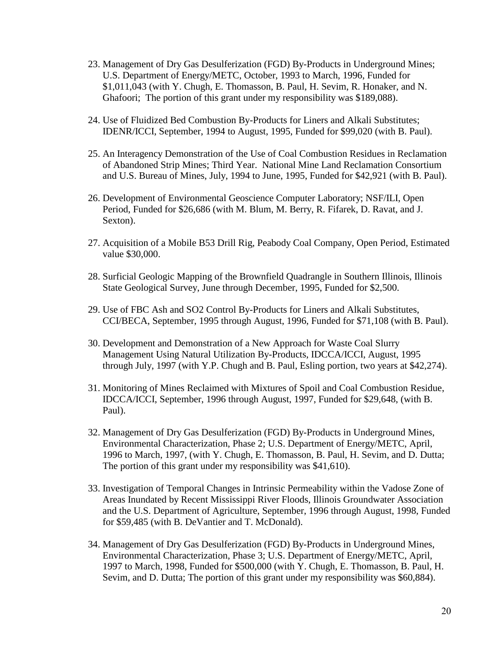- 23. Management of Dry Gas Desulferization (FGD) By-Products in Underground Mines; U.S. Department of Energy/METC, October, 1993 to March, 1996, Funded for \$1,011,043 (with Y. Chugh, E. Thomasson, B. Paul, H. Sevim, R. Honaker, and N. Ghafoori; The portion of this grant under my responsibility was \$189,088).
- 24. Use of Fluidized Bed Combustion By-Products for Liners and Alkali Substitutes; IDENR/ICCI, September, 1994 to August, 1995, Funded for \$99,020 (with B. Paul).
- 25. An Interagency Demonstration of the Use of Coal Combustion Residues in Reclamation of Abandoned Strip Mines; Third Year. National Mine Land Reclamation Consortium and U.S. Bureau of Mines, July, 1994 to June, 1995, Funded for \$42,921 (with B. Paul).
- 26. Development of Environmental Geoscience Computer Laboratory; NSF/ILI, Open Period, Funded for \$26,686 (with M. Blum, M. Berry, R. Fifarek, D. Ravat, and J. Sexton).
- 27. Acquisition of a Mobile B53 Drill Rig, Peabody Coal Company, Open Period, Estimated value \$30,000.
- 28. Surficial Geologic Mapping of the Brownfield Quadrangle in Southern Illinois, Illinois State Geological Survey, June through December, 1995, Funded for \$2,500.
- 29. Use of FBC Ash and SO2 Control By-Products for Liners and Alkali Substitutes, CCI/BECA, September, 1995 through August, 1996, Funded for \$71,108 (with B. Paul).
- 30. Development and Demonstration of a New Approach for Waste Coal Slurry Management Using Natural Utilization By-Products, IDCCA/ICCI, August, 1995 through July, 1997 (with Y.P. Chugh and B. Paul, Esling portion, two years at \$42,274).
- 31. Monitoring of Mines Reclaimed with Mixtures of Spoil and Coal Combustion Residue, IDCCA/ICCI, September, 1996 through August, 1997, Funded for \$29,648, (with B. Paul).
- 32. Management of Dry Gas Desulferization (FGD) By-Products in Underground Mines, Environmental Characterization, Phase 2; U.S. Department of Energy/METC, April, 1996 to March, 1997, (with Y. Chugh, E. Thomasson, B. Paul, H. Sevim, and D. Dutta; The portion of this grant under my responsibility was \$41,610).
- 33. Investigation of Temporal Changes in Intrinsic Permeability within the Vadose Zone of Areas Inundated by Recent Mississippi River Floods, Illinois Groundwater Association and the U.S. Department of Agriculture, September, 1996 through August, 1998, Funded for \$59,485 (with B. DeVantier and T. McDonald).
- 34. Management of Dry Gas Desulferization (FGD) By-Products in Underground Mines, Environmental Characterization, Phase 3; U.S. Department of Energy/METC, April, 1997 to March, 1998, Funded for \$500,000 (with Y. Chugh, E. Thomasson, B. Paul, H. Sevim, and D. Dutta; The portion of this grant under my responsibility was \$60,884).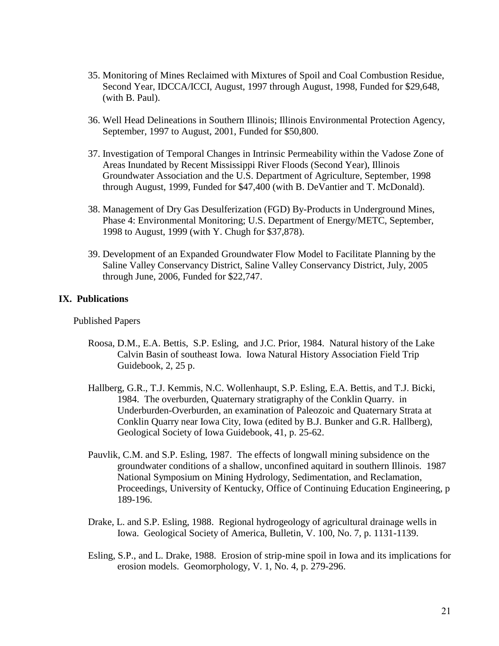- 35. Monitoring of Mines Reclaimed with Mixtures of Spoil and Coal Combustion Residue, Second Year, IDCCA/ICCI, August, 1997 through August, 1998, Funded for \$29,648, (with B. Paul).
- 36. Well Head Delineations in Southern Illinois; Illinois Environmental Protection Agency, September, 1997 to August, 2001, Funded for \$50,800.
- 37. Investigation of Temporal Changes in Intrinsic Permeability within the Vadose Zone of Areas Inundated by Recent Mississippi River Floods (Second Year), Illinois Groundwater Association and the U.S. Department of Agriculture, September, 1998 through August, 1999, Funded for \$47,400 (with B. DeVantier and T. McDonald).
- 38. Management of Dry Gas Desulferization (FGD) By-Products in Underground Mines, Phase 4: Environmental Monitoring; U.S. Department of Energy/METC, September, 1998 to August, 1999 (with Y. Chugh for \$37,878).
- 39. Development of an Expanded Groundwater Flow Model to Facilitate Planning by the Saline Valley Conservancy District, Saline Valley Conservancy District, July, 2005 through June, 2006, Funded for \$22,747.

#### **IX. Publications**

Published Papers

- Roosa, D.M., E.A. Bettis, S.P. Esling, and J.C. Prior, 1984. Natural history of the Lake Calvin Basin of southeast Iowa. Iowa Natural History Association Field Trip Guidebook, 2, 25 p.
- Hallberg, G.R., T.J. Kemmis, N.C. Wollenhaupt, S.P. Esling, E.A. Bettis, and T.J. Bicki, 1984. The overburden, Quaternary stratigraphy of the Conklin Quarry. in Underburden-Overburden, an examination of Paleozoic and Quaternary Strata at Conklin Quarry near Iowa City, Iowa (edited by B.J. Bunker and G.R. Hallberg), Geological Society of Iowa Guidebook, 41, p. 25-62.
- Pauvlik, C.M. and S.P. Esling, 1987. The effects of longwall mining subsidence on the groundwater conditions of a shallow, unconfined aquitard in southern Illinois. 1987 National Symposium on Mining Hydrology, Sedimentation, and Reclamation, Proceedings, University of Kentucky, Office of Continuing Education Engineering, p 189-196.
- Drake, L. and S.P. Esling, 1988. Regional hydrogeology of agricultural drainage wells in Iowa. Geological Society of America, Bulletin, V. 100, No. 7, p. 1131-1139.
- Esling, S.P., and L. Drake, 1988. Erosion of strip-mine spoil in Iowa and its implications for erosion models. Geomorphology, V. 1, No. 4, p. 279-296.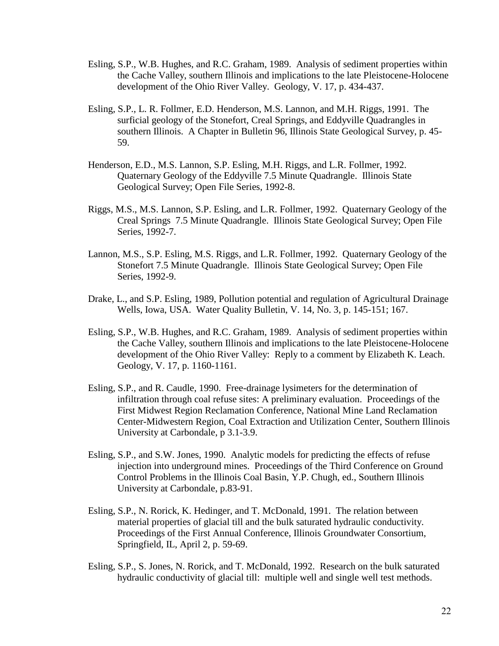- Esling, S.P., W.B. Hughes, and R.C. Graham, 1989. Analysis of sediment properties within the Cache Valley, southern Illinois and implications to the late Pleistocene-Holocene development of the Ohio River Valley. Geology, V. 17, p. 434-437.
- Esling, S.P., L. R. Follmer, E.D. Henderson, M.S. Lannon, and M.H. Riggs, 1991. The surficial geology of the Stonefort, Creal Springs, and Eddyville Quadrangles in southern Illinois. A Chapter in Bulletin 96, Illinois State Geological Survey, p. 45- 59.
- Henderson, E.D., M.S. Lannon, S.P. Esling, M.H. Riggs, and L.R. Follmer, 1992. Quaternary Geology of the Eddyville 7.5 Minute Quadrangle. Illinois State Geological Survey; Open File Series, 1992-8.
- Riggs, M.S., M.S. Lannon, S.P. Esling, and L.R. Follmer, 1992. Quaternary Geology of the Creal Springs 7.5 Minute Quadrangle. Illinois State Geological Survey; Open File Series, 1992-7.
- Lannon, M.S., S.P. Esling, M.S. Riggs, and L.R. Follmer, 1992. Quaternary Geology of the Stonefort 7.5 Minute Quadrangle. Illinois State Geological Survey; Open File Series, 1992-9.
- Drake, L., and S.P. Esling, 1989, Pollution potential and regulation of Agricultural Drainage Wells, Iowa, USA. Water Quality Bulletin, V. 14, No. 3, p. 145-151; 167.
- Esling, S.P., W.B. Hughes, and R.C. Graham, 1989. Analysis of sediment properties within the Cache Valley, southern Illinois and implications to the late Pleistocene-Holocene development of the Ohio River Valley: Reply to a comment by Elizabeth K. Leach. Geology, V. 17, p. 1160-1161.
- Esling, S.P., and R. Caudle, 1990. Free-drainage lysimeters for the determination of infiltration through coal refuse sites: A preliminary evaluation. Proceedings of the First Midwest Region Reclamation Conference, National Mine Land Reclamation Center-Midwestern Region, Coal Extraction and Utilization Center, Southern Illinois University at Carbondale, p 3.1-3.9.
- Esling, S.P., and S.W. Jones, 1990. Analytic models for predicting the effects of refuse injection into underground mines. Proceedings of the Third Conference on Ground Control Problems in the Illinois Coal Basin, Y.P. Chugh, ed., Southern Illinois University at Carbondale, p.83-91.
- Esling, S.P., N. Rorick, K. Hedinger, and T. McDonald, 1991. The relation between material properties of glacial till and the bulk saturated hydraulic conductivity. Proceedings of the First Annual Conference, Illinois Groundwater Consortium, Springfield, IL, April 2, p. 59-69.
- Esling, S.P., S. Jones, N. Rorick, and T. McDonald, 1992. Research on the bulk saturated hydraulic conductivity of glacial till: multiple well and single well test methods.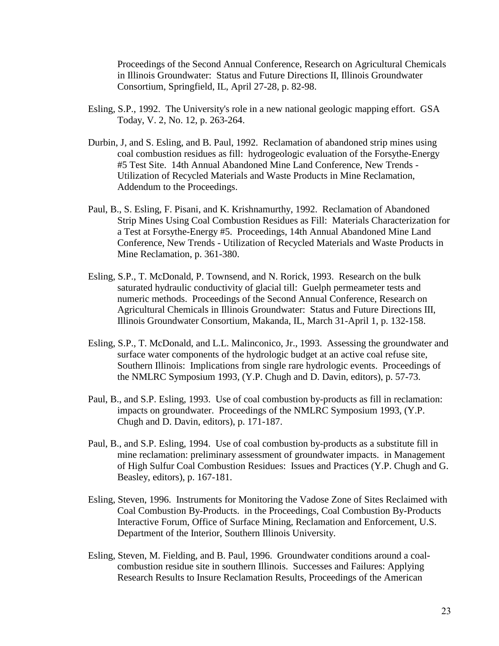Proceedings of the Second Annual Conference, Research on Agricultural Chemicals in Illinois Groundwater: Status and Future Directions II, Illinois Groundwater Consortium, Springfield, IL, April 27-28, p. 82-98.

- Esling, S.P., 1992. The University's role in a new national geologic mapping effort. GSA Today, V. 2, No. 12, p. 263-264.
- Durbin, J, and S. Esling, and B. Paul, 1992. Reclamation of abandoned strip mines using coal combustion residues as fill: hydrogeologic evaluation of the Forsythe-Energy #5 Test Site. 14th Annual Abandoned Mine Land Conference, New Trends - Utilization of Recycled Materials and Waste Products in Mine Reclamation, Addendum to the Proceedings.
- Paul, B., S. Esling, F. Pisani, and K. Krishnamurthy, 1992. Reclamation of Abandoned Strip Mines Using Coal Combustion Residues as Fill: Materials Characterization for a Test at Forsythe-Energy #5. Proceedings, 14th Annual Abandoned Mine Land Conference, New Trends - Utilization of Recycled Materials and Waste Products in Mine Reclamation, p. 361-380.
- Esling, S.P., T. McDonald, P. Townsend, and N. Rorick, 1993. Research on the bulk saturated hydraulic conductivity of glacial till: Guelph permeameter tests and numeric methods. Proceedings of the Second Annual Conference, Research on Agricultural Chemicals in Illinois Groundwater: Status and Future Directions III, Illinois Groundwater Consortium, Makanda, IL, March 31-April 1, p. 132-158.
- Esling, S.P., T. McDonald, and L.L. Malinconico, Jr., 1993. Assessing the groundwater and surface water components of the hydrologic budget at an active coal refuse site, Southern Illinois: Implications from single rare hydrologic events. Proceedings of the NMLRC Symposium 1993, (Y.P. Chugh and D. Davin, editors), p. 57-73.
- Paul, B., and S.P. Esling, 1993. Use of coal combustion by-products as fill in reclamation: impacts on groundwater. Proceedings of the NMLRC Symposium 1993, (Y.P. Chugh and D. Davin, editors), p. 171-187.
- Paul, B., and S.P. Esling, 1994. Use of coal combustion by-products as a substitute fill in mine reclamation: preliminary assessment of groundwater impacts. in Management of High Sulfur Coal Combustion Residues: Issues and Practices (Y.P. Chugh and G. Beasley, editors), p. 167-181.
- Esling, Steven, 1996. Instruments for Monitoring the Vadose Zone of Sites Reclaimed with Coal Combustion By-Products. in the Proceedings, Coal Combustion By-Products Interactive Forum, Office of Surface Mining, Reclamation and Enforcement, U.S. Department of the Interior, Southern Illinois University.
- Esling, Steven, M. Fielding, and B. Paul, 1996. Groundwater conditions around a coalcombustion residue site in southern Illinois. Successes and Failures: Applying Research Results to Insure Reclamation Results, Proceedings of the American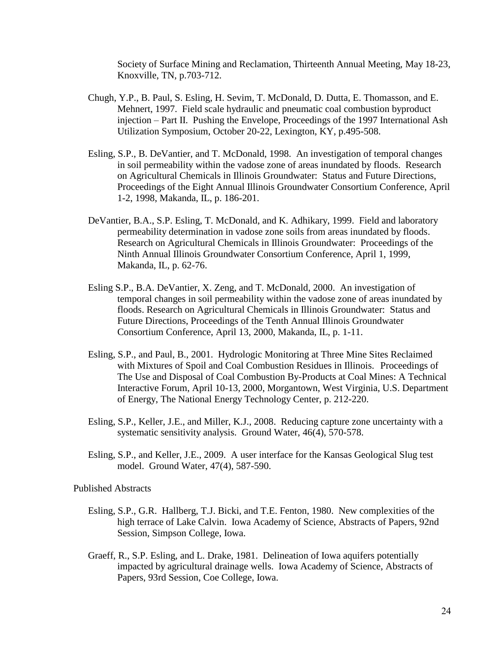Society of Surface Mining and Reclamation, Thirteenth Annual Meeting, May 18-23, Knoxville, TN, p.703-712.

- Chugh, Y.P., B. Paul, S. Esling, H. Sevim, T. McDonald, D. Dutta, E. Thomasson, and E. Mehnert, 1997. Field scale hydraulic and pneumatic coal combustion byproduct injection – Part II. Pushing the Envelope, Proceedings of the 1997 International Ash Utilization Symposium, October 20-22, Lexington, KY, p.495-508.
- Esling, S.P., B. DeVantier, and T. McDonald, 1998. An investigation of temporal changes in soil permeability within the vadose zone of areas inundated by floods. Research on Agricultural Chemicals in Illinois Groundwater: Status and Future Directions, Proceedings of the Eight Annual Illinois Groundwater Consortium Conference, April 1-2, 1998, Makanda, IL, p. 186-201.
- DeVantier, B.A., S.P. Esling, T. McDonald, and K. Adhikary, 1999. Field and laboratory permeability determination in vadose zone soils from areas inundated by floods. Research on Agricultural Chemicals in Illinois Groundwater: Proceedings of the Ninth Annual Illinois Groundwater Consortium Conference, April 1, 1999, Makanda, IL, p. 62-76.
- Esling S.P., B.A. DeVantier, X. Zeng, and T. McDonald, 2000. An investigation of temporal changes in soil permeability within the vadose zone of areas inundated by floods. Research on Agricultural Chemicals in Illinois Groundwater: Status and Future Directions, Proceedings of the Tenth Annual Illinois Groundwater Consortium Conference, April 13, 2000, Makanda, IL, p. 1-11.
- Esling, S.P., and Paul, B., 2001. Hydrologic Monitoring at Three Mine Sites Reclaimed with Mixtures of Spoil and Coal Combustion Residues in Illinois.Proceedings of The Use and Disposal of Coal Combustion By-Products at Coal Mines: A Technical Interactive Forum, April 10-13, 2000, Morgantown, West Virginia, U.S. Department of Energy, The National Energy Technology Center, p. 212-220.
- Esling, S.P., Keller, J.E., and Miller, K.J., 2008. Reducing capture zone uncertainty with a systematic sensitivity analysis. Ground Water, 46(4), 570-578.
- Esling, S.P., and Keller, J.E., 2009. A user interface for the Kansas Geological Slug test model. Ground Water, 47(4), 587-590.

Published Abstracts

- Esling, S.P., G.R. Hallberg, T.J. Bicki, and T.E. Fenton, 1980. New complexities of the high terrace of Lake Calvin. Iowa Academy of Science, Abstracts of Papers, 92nd Session, Simpson College, Iowa.
- Graeff, R., S.P. Esling, and L. Drake, 1981. Delineation of Iowa aquifers potentially impacted by agricultural drainage wells. Iowa Academy of Science, Abstracts of Papers, 93rd Session, Coe College, Iowa.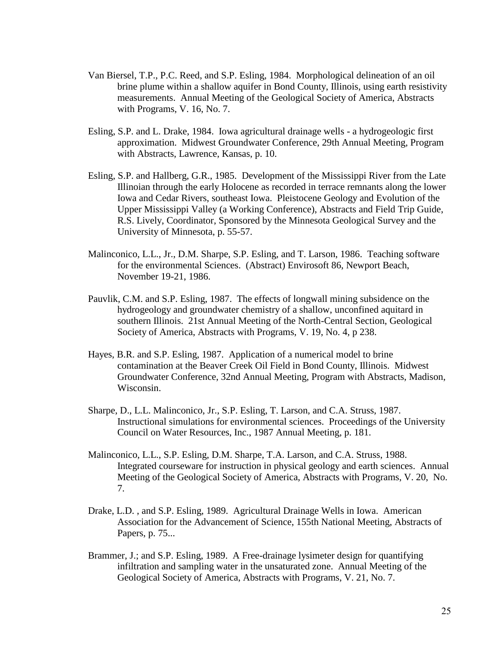- Van Biersel, T.P., P.C. Reed, and S.P. Esling, 1984. Morphological delineation of an oil brine plume within a shallow aquifer in Bond County, Illinois, using earth resistivity measurements. Annual Meeting of the Geological Society of America, Abstracts with Programs, V. 16, No. 7.
- Esling, S.P. and L. Drake, 1984. Iowa agricultural drainage wells a hydrogeologic first approximation. Midwest Groundwater Conference, 29th Annual Meeting, Program with Abstracts, Lawrence, Kansas, p. 10.
- Esling, S.P. and Hallberg, G.R., 1985. Development of the Mississippi River from the Late Illinoian through the early Holocene as recorded in terrace remnants along the lower Iowa and Cedar Rivers, southeast Iowa. Pleistocene Geology and Evolution of the Upper Mississippi Valley (a Working Conference), Abstracts and Field Trip Guide, R.S. Lively, Coordinator, Sponsored by the Minnesota Geological Survey and the University of Minnesota, p. 55-57.
- Malinconico, L.L., Jr., D.M. Sharpe, S.P. Esling, and T. Larson, 1986. Teaching software for the environmental Sciences. (Abstract) Envirosoft 86, Newport Beach, November 19-21, 1986.
- Pauvlik, C.M. and S.P. Esling, 1987. The effects of longwall mining subsidence on the hydrogeology and groundwater chemistry of a shallow, unconfined aquitard in southern Illinois. 21st Annual Meeting of the North-Central Section, Geological Society of America, Abstracts with Programs, V. 19, No. 4, p 238.
- Hayes, B.R. and S.P. Esling, 1987. Application of a numerical model to brine contamination at the Beaver Creek Oil Field in Bond County, Illinois. Midwest Groundwater Conference, 32nd Annual Meeting, Program with Abstracts, Madison, Wisconsin.
- Sharpe, D., L.L. Malinconico, Jr., S.P. Esling, T. Larson, and C.A. Struss, 1987. Instructional simulations for environmental sciences. Proceedings of the University Council on Water Resources, Inc., 1987 Annual Meeting, p. 181.
- Malinconico, L.L., S.P. Esling, D.M. Sharpe, T.A. Larson, and C.A. Struss, 1988. Integrated courseware for instruction in physical geology and earth sciences. Annual Meeting of the Geological Society of America, Abstracts with Programs, V. 20, No. 7.
- Drake, L.D. , and S.P. Esling, 1989. Agricultural Drainage Wells in Iowa. American Association for the Advancement of Science, 155th National Meeting, Abstracts of Papers, p. 75...
- Brammer, J.; and S.P. Esling, 1989. A Free-drainage lysimeter design for quantifying infiltration and sampling water in the unsaturated zone. Annual Meeting of the Geological Society of America, Abstracts with Programs, V. 21, No. 7.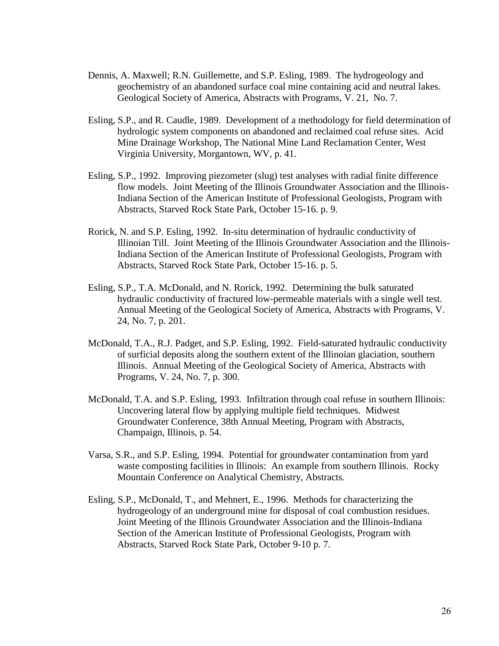- Dennis, A. Maxwell; R.N. Guillemette, and S.P. Esling, 1989. The hydrogeology and geochemistry of an abandoned surface coal mine containing acid and neutral lakes. Geological Society of America, Abstracts with Programs, V. 21, No. 7.
- Esling, S.P., and R. Caudle, 1989. Development of a methodology for field determination of hydrologic system components on abandoned and reclaimed coal refuse sites. Acid Mine Drainage Workshop, The National Mine Land Reclamation Center, West Virginia University, Morgantown, WV, p. 41.
- Esling, S.P., 1992. Improving piezometer (slug) test analyses with radial finite difference flow models. Joint Meeting of the Illinois Groundwater Association and the Illinois-Indiana Section of the American Institute of Professional Geologists, Program with Abstracts, Starved Rock State Park, October 15-16. p. 9.
- Rorick, N. and S.P. Esling, 1992. In-situ determination of hydraulic conductivity of Illinoian Till. Joint Meeting of the Illinois Groundwater Association and the Illinois-Indiana Section of the American Institute of Professional Geologists, Program with Abstracts, Starved Rock State Park, October 15-16. p. 5.
- Esling, S.P., T.A. McDonald, and N. Rorick, 1992. Determining the bulk saturated hydraulic conductivity of fractured low-permeable materials with a single well test. Annual Meeting of the Geological Society of America, Abstracts with Programs, V. 24, No. 7, p. 201.
- McDonald, T.A., R.J. Padget, and S.P. Esling, 1992. Field-saturated hydraulic conductivity of surficial deposits along the southern extent of the Illinoian glaciation, southern Illinois. Annual Meeting of the Geological Society of America, Abstracts with Programs, V. 24, No. 7, p. 300.
- McDonald, T.A. and S.P. Esling, 1993. Infiltration through coal refuse in southern Illinois: Uncovering lateral flow by applying multiple field techniques. Midwest Groundwater Conference, 38th Annual Meeting, Program with Abstracts, Champaign, Illinois, p. 54.
- Varsa, S.R., and S.P. Esling, 1994. Potential for groundwater contamination from yard waste composting facilities in Illinois: An example from southern Illinois. Rocky Mountain Conference on Analytical Chemistry, Abstracts.
- Esling, S.P., McDonald, T., and Mehnert, E., 1996. Methods for characterizing the hydrogeology of an underground mine for disposal of coal combustion residues. Joint Meeting of the Illinois Groundwater Association and the Illinois-Indiana Section of the American Institute of Professional Geologists, Program with Abstracts, Starved Rock State Park, October 9-10 p. 7.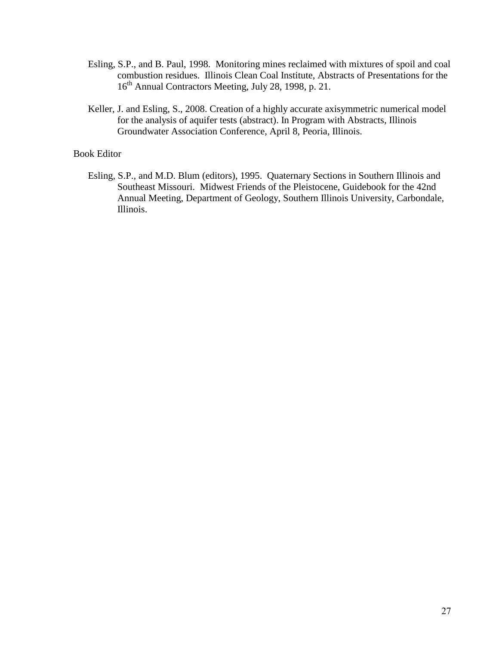- Esling, S.P., and B. Paul, 1998. Monitoring mines reclaimed with mixtures of spoil and coal combustion residues. Illinois Clean Coal Institute, Abstracts of Presentations for the 16<sup>th</sup> Annual Contractors Meeting, July 28, 1998, p. 21.
- Keller, J. and Esling, S., 2008. Creation of a highly accurate axisymmetric numerical model for the analysis of aquifer tests (abstract). In Program with Abstracts, Illinois Groundwater Association Conference, April 8, Peoria, Illinois.

#### Book Editor

Esling, S.P., and M.D. Blum (editors), 1995. Quaternary Sections in Southern Illinois and Southeast Missouri. Midwest Friends of the Pleistocene, Guidebook for the 42nd Annual Meeting, Department of Geology, Southern Illinois University, Carbondale, Illinois.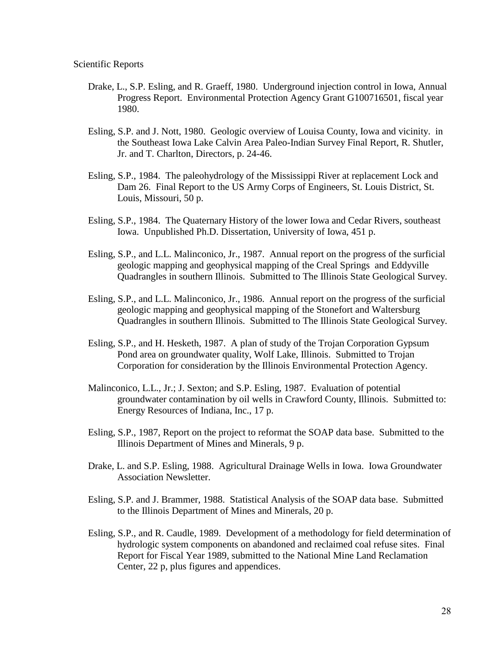- Drake, L., S.P. Esling, and R. Graeff, 1980. Underground injection control in Iowa, Annual Progress Report. Environmental Protection Agency Grant G100716501, fiscal year 1980.
- Esling, S.P. and J. Nott, 1980. Geologic overview of Louisa County, Iowa and vicinity. in the Southeast Iowa Lake Calvin Area Paleo-Indian Survey Final Report, R. Shutler, Jr. and T. Charlton, Directors, p. 24-46.
- Esling, S.P., 1984. The paleohydrology of the Mississippi River at replacement Lock and Dam 26. Final Report to the US Army Corps of Engineers, St. Louis District, St. Louis, Missouri, 50 p.
- Esling, S.P., 1984. The Quaternary History of the lower Iowa and Cedar Rivers, southeast Iowa. Unpublished Ph.D. Dissertation, University of Iowa, 451 p.
- Esling, S.P., and L.L. Malinconico, Jr., 1987. Annual report on the progress of the surficial geologic mapping and geophysical mapping of the Creal Springs and Eddyville Quadrangles in southern Illinois. Submitted to The Illinois State Geological Survey.
- Esling, S.P., and L.L. Malinconico, Jr., 1986. Annual report on the progress of the surficial geologic mapping and geophysical mapping of the Stonefort and Waltersburg Quadrangles in southern Illinois. Submitted to The Illinois State Geological Survey.
- Esling, S.P., and H. Hesketh, 1987. A plan of study of the Trojan Corporation Gypsum Pond area on groundwater quality, Wolf Lake, Illinois. Submitted to Trojan Corporation for consideration by the Illinois Environmental Protection Agency.
- Malinconico, L.L., Jr.; J. Sexton; and S.P. Esling, 1987. Evaluation of potential groundwater contamination by oil wells in Crawford County, Illinois. Submitted to: Energy Resources of Indiana, Inc., 17 p.
- Esling, S.P., 1987, Report on the project to reformat the SOAP data base. Submitted to the Illinois Department of Mines and Minerals, 9 p.
- Drake, L. and S.P. Esling, 1988. Agricultural Drainage Wells in Iowa. Iowa Groundwater Association Newsletter.
- Esling, S.P. and J. Brammer, 1988. Statistical Analysis of the SOAP data base. Submitted to the Illinois Department of Mines and Minerals, 20 p.
- Esling, S.P., and R. Caudle, 1989. Development of a methodology for field determination of hydrologic system components on abandoned and reclaimed coal refuse sites. Final Report for Fiscal Year 1989, submitted to the National Mine Land Reclamation Center, 22 p, plus figures and appendices.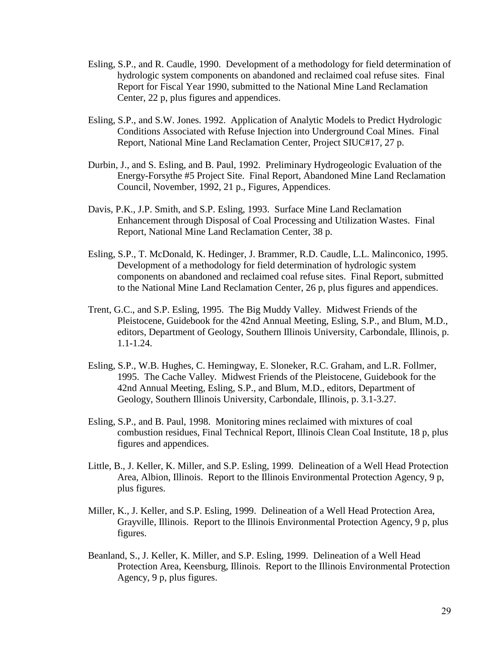- Esling, S.P., and R. Caudle, 1990. Development of a methodology for field determination of hydrologic system components on abandoned and reclaimed coal refuse sites. Final Report for Fiscal Year 1990, submitted to the National Mine Land Reclamation Center, 22 p, plus figures and appendices.
- Esling, S.P., and S.W. Jones. 1992. Application of Analytic Models to Predict Hydrologic Conditions Associated with Refuse Injection into Underground Coal Mines. Final Report, National Mine Land Reclamation Center, Project SIUC#17, 27 p.
- Durbin, J., and S. Esling, and B. Paul, 1992. Preliminary Hydrogeologic Evaluation of the Energy-Forsythe #5 Project Site. Final Report, Abandoned Mine Land Reclamation Council, November, 1992, 21 p., Figures, Appendices.
- Davis, P.K., J.P. Smith, and S.P. Esling, 1993. Surface Mine Land Reclamation Enhancement through Disposal of Coal Processing and Utilization Wastes. Final Report, National Mine Land Reclamation Center, 38 p.
- Esling, S.P., T. McDonald, K. Hedinger, J. Brammer, R.D. Caudle, L.L. Malinconico, 1995. Development of a methodology for field determination of hydrologic system components on abandoned and reclaimed coal refuse sites. Final Report, submitted to the National Mine Land Reclamation Center, 26 p, plus figures and appendices.
- Trent, G.C., and S.P. Esling, 1995. The Big Muddy Valley. Midwest Friends of the Pleistocene, Guidebook for the 42nd Annual Meeting, Esling, S.P., and Blum, M.D., editors, Department of Geology, Southern Illinois University, Carbondale, Illinois, p. 1.1-1.24.
- Esling, S.P., W.B. Hughes, C. Hemingway, E. Sloneker, R.C. Graham, and L.R. Follmer, 1995. The Cache Valley. Midwest Friends of the Pleistocene, Guidebook for the 42nd Annual Meeting, Esling, S.P., and Blum, M.D., editors, Department of Geology, Southern Illinois University, Carbondale, Illinois, p. 3.1-3.27.
- Esling, S.P., and B. Paul, 1998. Monitoring mines reclaimed with mixtures of coal combustion residues, Final Technical Report, Illinois Clean Coal Institute, 18 p, plus figures and appendices.
- Little, B., J. Keller, K. Miller, and S.P. Esling, 1999. Delineation of a Well Head Protection Area, Albion, Illinois. Report to the Illinois Environmental Protection Agency, 9 p, plus figures.
- Miller, K., J. Keller, and S.P. Esling, 1999. Delineation of a Well Head Protection Area, Grayville, Illinois. Report to the Illinois Environmental Protection Agency, 9 p, plus figures.
- Beanland, S., J. Keller, K. Miller, and S.P. Esling, 1999. Delineation of a Well Head Protection Area, Keensburg, Illinois. Report to the Illinois Environmental Protection Agency, 9 p, plus figures.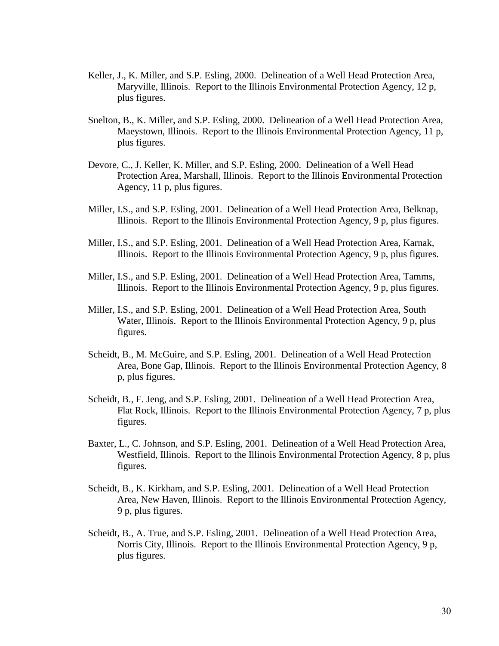- Keller, J., K. Miller, and S.P. Esling, 2000. Delineation of a Well Head Protection Area, Maryville, Illinois. Report to the Illinois Environmental Protection Agency, 12 p, plus figures.
- Snelton, B., K. Miller, and S.P. Esling, 2000. Delineation of a Well Head Protection Area, Maeystown, Illinois. Report to the Illinois Environmental Protection Agency, 11 p, plus figures.
- Devore, C., J. Keller, K. Miller, and S.P. Esling, 2000. Delineation of a Well Head Protection Area, Marshall, Illinois. Report to the Illinois Environmental Protection Agency, 11 p, plus figures.
- Miller, I.S., and S.P. Esling, 2001. Delineation of a Well Head Protection Area, Belknap, Illinois. Report to the Illinois Environmental Protection Agency, 9 p, plus figures.
- Miller, I.S., and S.P. Esling, 2001. Delineation of a Well Head Protection Area, Karnak, Illinois. Report to the Illinois Environmental Protection Agency, 9 p, plus figures.
- Miller, I.S., and S.P. Esling, 2001. Delineation of a Well Head Protection Area, Tamms, Illinois. Report to the Illinois Environmental Protection Agency, 9 p, plus figures.
- Miller, I.S., and S.P. Esling, 2001. Delineation of a Well Head Protection Area, South Water, Illinois. Report to the Illinois Environmental Protection Agency, 9 p, plus figures.
- Scheidt, B., M. McGuire, and S.P. Esling, 2001. Delineation of a Well Head Protection Area, Bone Gap, Illinois. Report to the Illinois Environmental Protection Agency, 8 p, plus figures.
- Scheidt, B., F. Jeng, and S.P. Esling, 2001. Delineation of a Well Head Protection Area, Flat Rock, Illinois. Report to the Illinois Environmental Protection Agency, 7 p, plus figures.
- Baxter, L., C. Johnson, and S.P. Esling, 2001. Delineation of a Well Head Protection Area, Westfield, Illinois. Report to the Illinois Environmental Protection Agency, 8 p, plus figures.
- Scheidt, B., K. Kirkham, and S.P. Esling, 2001. Delineation of a Well Head Protection Area, New Haven, Illinois. Report to the Illinois Environmental Protection Agency, 9 p, plus figures.
- Scheidt, B., A. True, and S.P. Esling, 2001. Delineation of a Well Head Protection Area, Norris City, Illinois. Report to the Illinois Environmental Protection Agency, 9 p, plus figures.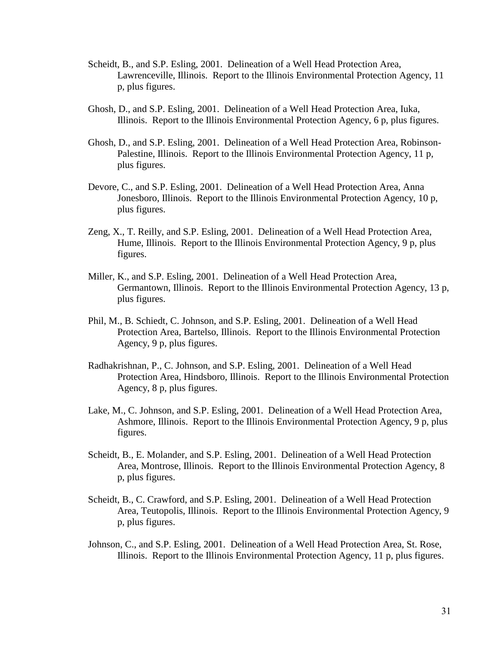- Scheidt, B., and S.P. Esling, 2001. Delineation of a Well Head Protection Area, Lawrenceville, Illinois. Report to the Illinois Environmental Protection Agency, 11 p, plus figures.
- Ghosh, D., and S.P. Esling, 2001. Delineation of a Well Head Protection Area, Iuka, Illinois. Report to the Illinois Environmental Protection Agency, 6 p, plus figures.
- Ghosh, D., and S.P. Esling, 2001. Delineation of a Well Head Protection Area, Robinson-Palestine, Illinois. Report to the Illinois Environmental Protection Agency, 11 p, plus figures.
- Devore, C., and S.P. Esling, 2001. Delineation of a Well Head Protection Area, Anna Jonesboro, Illinois. Report to the Illinois Environmental Protection Agency, 10 p, plus figures.
- Zeng, X., T. Reilly, and S.P. Esling, 2001. Delineation of a Well Head Protection Area, Hume, Illinois. Report to the Illinois Environmental Protection Agency, 9 p, plus figures.
- Miller, K., and S.P. Esling, 2001. Delineation of a Well Head Protection Area, Germantown, Illinois. Report to the Illinois Environmental Protection Agency, 13 p, plus figures.
- Phil, M., B. Schiedt, C. Johnson, and S.P. Esling, 2001. Delineation of a Well Head Protection Area, Bartelso, Illinois. Report to the Illinois Environmental Protection Agency, 9 p, plus figures.
- Radhakrishnan, P., C. Johnson, and S.P. Esling, 2001. Delineation of a Well Head Protection Area, Hindsboro, Illinois. Report to the Illinois Environmental Protection Agency, 8 p, plus figures.
- Lake, M., C. Johnson, and S.P. Esling, 2001. Delineation of a Well Head Protection Area, Ashmore, Illinois. Report to the Illinois Environmental Protection Agency, 9 p, plus figures.
- Scheidt, B., E. Molander, and S.P. Esling, 2001. Delineation of a Well Head Protection Area, Montrose, Illinois. Report to the Illinois Environmental Protection Agency, 8 p, plus figures.
- Scheidt, B., C. Crawford, and S.P. Esling, 2001. Delineation of a Well Head Protection Area, Teutopolis, Illinois. Report to the Illinois Environmental Protection Agency, 9 p, plus figures.
- Johnson, C., and S.P. Esling, 2001. Delineation of a Well Head Protection Area, St. Rose, Illinois. Report to the Illinois Environmental Protection Agency, 11 p, plus figures.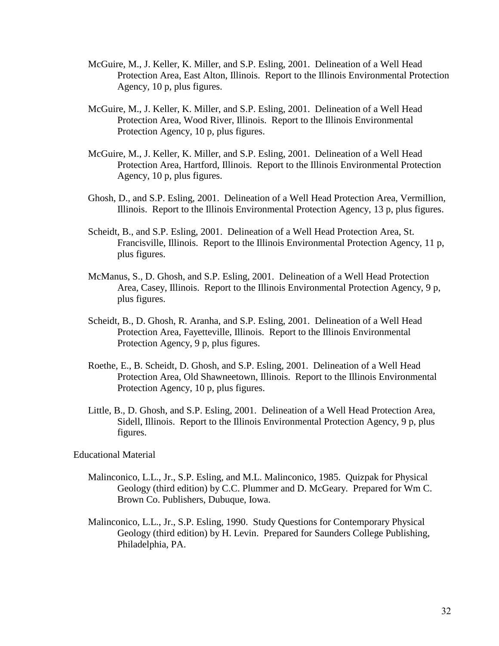- McGuire, M., J. Keller, K. Miller, and S.P. Esling, 2001. Delineation of a Well Head Protection Area, East Alton, Illinois. Report to the Illinois Environmental Protection Agency, 10 p, plus figures.
- McGuire, M., J. Keller, K. Miller, and S.P. Esling, 2001. Delineation of a Well Head Protection Area, Wood River, Illinois. Report to the Illinois Environmental Protection Agency, 10 p, plus figures.
- McGuire, M., J. Keller, K. Miller, and S.P. Esling, 2001. Delineation of a Well Head Protection Area, Hartford, Illinois. Report to the Illinois Environmental Protection Agency, 10 p, plus figures.
- Ghosh, D., and S.P. Esling, 2001. Delineation of a Well Head Protection Area, Vermillion, Illinois. Report to the Illinois Environmental Protection Agency, 13 p, plus figures.
- Scheidt, B., and S.P. Esling, 2001. Delineation of a Well Head Protection Area, St. Francisville, Illinois. Report to the Illinois Environmental Protection Agency, 11 p, plus figures.
- McManus, S., D. Ghosh, and S.P. Esling, 2001. Delineation of a Well Head Protection Area, Casey, Illinois. Report to the Illinois Environmental Protection Agency, 9 p, plus figures.
- Scheidt, B., D. Ghosh, R. Aranha, and S.P. Esling, 2001. Delineation of a Well Head Protection Area, Fayetteville, Illinois. Report to the Illinois Environmental Protection Agency, 9 p, plus figures.
- Roethe, E., B. Scheidt, D. Ghosh, and S.P. Esling, 2001. Delineation of a Well Head Protection Area, Old Shawneetown, Illinois. Report to the Illinois Environmental Protection Agency, 10 p, plus figures.
- Little, B., D. Ghosh, and S.P. Esling, 2001. Delineation of a Well Head Protection Area, Sidell, Illinois. Report to the Illinois Environmental Protection Agency, 9 p, plus figures.

Educational Material

- Malinconico, L.L., Jr., S.P. Esling, and M.L. Malinconico, 1985. Quizpak for Physical Geology (third edition) by C.C. Plummer and D. McGeary. Prepared for Wm C. Brown Co. Publishers, Dubuque, Iowa.
- Malinconico, L.L., Jr., S.P. Esling, 1990. Study Questions for Contemporary Physical Geology (third edition) by H. Levin. Prepared for Saunders College Publishing, Philadelphia, PA.